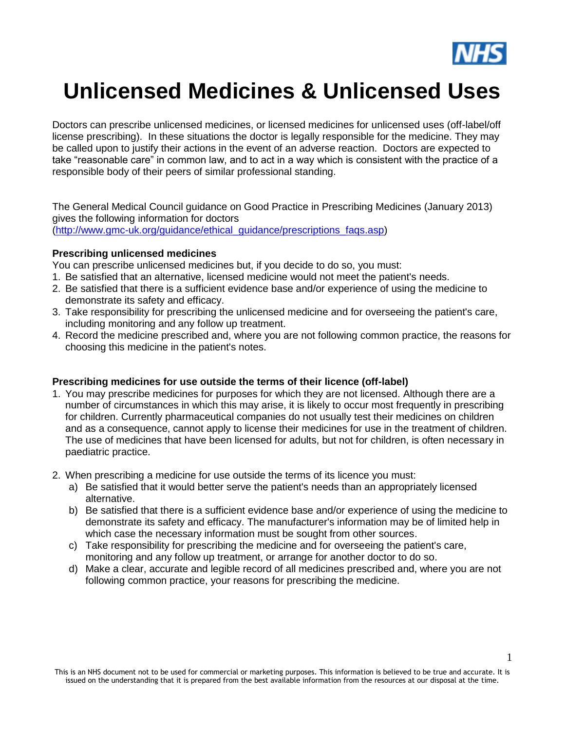

1

# **Unlicensed Medicines & Unlicensed Uses**

Doctors can prescribe unlicensed medicines, or licensed medicines for unlicensed uses (off-label/off license prescribing). In these situations the doctor is legally responsible for the medicine. They may be called upon to justify their actions in the event of an adverse reaction. Doctors are expected to take "reasonable care" in common law, and to act in a way which is consistent with the practice of a responsible body of their peers of similar professional standing.

The General Medical Council guidance on Good Practice in Prescribing Medicines (January 2013) gives the following information for doctors [\(http://www.gmc-uk.org/guidance/ethical\\_guidance/prescriptions\\_faqs.asp\)](http://www.gmc-uk.org/guidance/ethical_guidance/prescriptions_faqs.asp)

## **Prescribing unlicensed medicines**

You can prescribe unlicensed medicines but, if you decide to do so, you must:

- 1. Be satisfied that an alternative, licensed medicine would not meet the patient's needs.
- 2. Be satisfied that there is a sufficient evidence base and/or experience of using the medicine to demonstrate its safety and efficacy.
- 3. Take responsibility for prescribing the unlicensed medicine and for overseeing the patient's care, including monitoring and any follow up treatment.
- 4. Record the medicine prescribed and, where you are not following common practice, the reasons for choosing this medicine in the patient's notes.

## **Prescribing medicines for use outside the terms of their licence (off-label)**

- 1. You may prescribe medicines for purposes for which they are not licensed. Although there are a number of circumstances in which this may arise, it is likely to occur most frequently in prescribing for children. Currently pharmaceutical companies do not usually test their medicines on children and as a consequence, cannot apply to license their medicines for use in the treatment of children. The use of medicines that have been licensed for adults, but not for children, is often necessary in paediatric practice.
- 2. When prescribing a medicine for use outside the terms of its licence you must:
	- a) Be satisfied that it would better serve the patient's needs than an appropriately licensed alternative.
	- b) Be satisfied that there is a sufficient evidence base and/or experience of using the medicine to demonstrate its safety and efficacy. The manufacturer's information may be of limited help in which case the necessary information must be sought from other sources.
	- c) Take responsibility for prescribing the medicine and for overseeing the patient's care, monitoring and any follow up treatment, or arrange for another doctor to do so.
	- d) Make a clear, accurate and legible record of all medicines prescribed and, where you are not following common practice, your reasons for prescribing the medicine.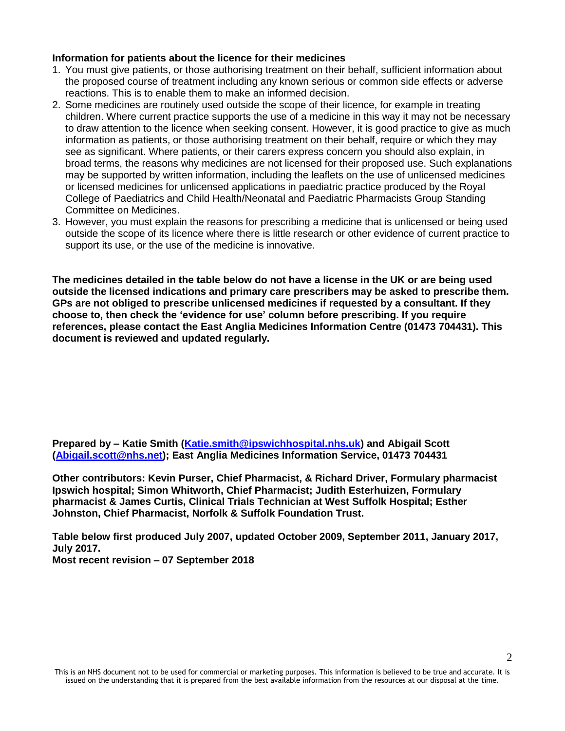## **Information for patients about the licence for their medicines**

- 1. You must give patients, or those authorising treatment on their behalf, sufficient information about the proposed course of treatment including any known serious or common side effects or adverse reactions. This is to enable them to make an informed decision.
- 2. Some medicines are routinely used outside the scope of their licence, for example in treating children. Where current practice supports the use of a medicine in this way it may not be necessary to draw attention to the licence when seeking consent. However, it is good practice to give as much information as patients, or those authorising treatment on their behalf, require or which they may see as significant. Where patients, or their carers express concern you should also explain, in broad terms, the reasons why medicines are not licensed for their proposed use. Such explanations may be supported by written information, including the leaflets on the use of unlicensed medicines or licensed medicines for unlicensed applications in paediatric practice produced by the Royal College of Paediatrics and Child Health/Neonatal and Paediatric Pharmacists Group Standing Committee on Medicines.
- 3. However, you must explain the reasons for prescribing a medicine that is unlicensed or being used outside the scope of its licence where there is little research or other evidence of current practice to support its use, or the use of the medicine is innovative.

**The medicines detailed in the table below do not have a license in the UK or are being used outside the licensed indications and primary care prescribers may be asked to prescribe them. GPs are not obliged to prescribe unlicensed medicines if requested by a consultant. If they choose to, then check the 'evidence for use' column before prescribing. If you require references, please contact the East Anglia Medicines Information Centre (01473 704431). This document is reviewed and updated regularly.** 

**Prepared by – Katie Smith [\(Katie.smith@ipswichhospital.nhs.uk\)](mailto:Katie.smith@ipswichhospital.nhs.uk) and Abigail Scott [\(Abigail.scott@nhs.net\)](mailto:Abigail.scott@nhs.net); East Anglia Medicines Information Service, 01473 704431**

**Other contributors: Kevin Purser, Chief Pharmacist, & Richard Driver, Formulary pharmacist Ipswich hospital; Simon Whitworth, Chief Pharmacist; Judith Esterhuizen, Formulary pharmacist & James Curtis, Clinical Trials Technician at West Suffolk Hospital; Esther Johnston, Chief Pharmacist, Norfolk & Suffolk Foundation Trust.**

**Table below first produced July 2007, updated October 2009, September 2011, January 2017, July 2017. Most recent revision – 07 September 2018**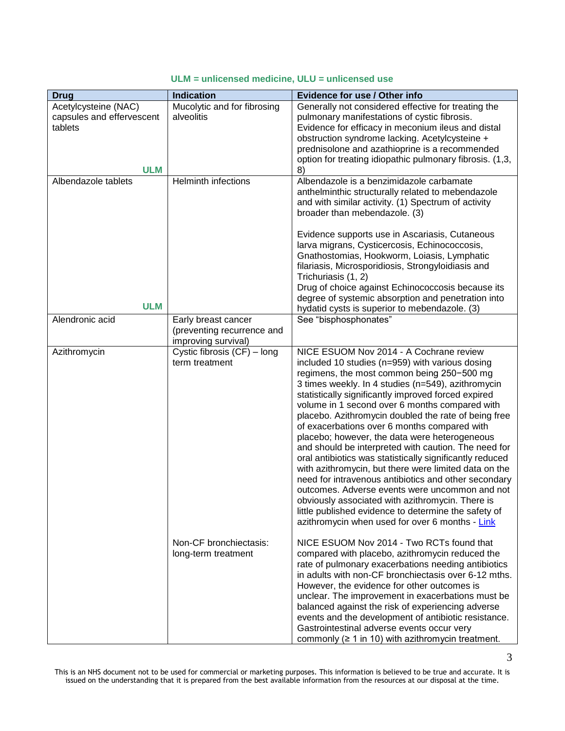| <b>Drug</b>                                                                | <b>Indication</b>                                                        | Evidence for use / Other info                                                                                                                                                                                                                                                                                                                                                                                                                                                                                                                                                                                                                                                                                                                                                                                                                                                                                          |
|----------------------------------------------------------------------------|--------------------------------------------------------------------------|------------------------------------------------------------------------------------------------------------------------------------------------------------------------------------------------------------------------------------------------------------------------------------------------------------------------------------------------------------------------------------------------------------------------------------------------------------------------------------------------------------------------------------------------------------------------------------------------------------------------------------------------------------------------------------------------------------------------------------------------------------------------------------------------------------------------------------------------------------------------------------------------------------------------|
| Acetylcysteine (NAC)<br>capsules and effervescent<br>tablets<br><b>ULM</b> | Mucolytic and for fibrosing<br>alveolitis                                | Generally not considered effective for treating the<br>pulmonary manifestations of cystic fibrosis.<br>Evidence for efficacy in meconium ileus and distal<br>obstruction syndrome lacking. Acetylcysteine +<br>prednisolone and azathioprine is a recommended<br>option for treating idiopathic pulmonary fibrosis. (1,3,                                                                                                                                                                                                                                                                                                                                                                                                                                                                                                                                                                                              |
| Albendazole tablets                                                        | <b>Helminth infections</b>                                               | 8)<br>Albendazole is a benzimidazole carbamate<br>anthelminthic structurally related to mebendazole<br>and with similar activity. (1) Spectrum of activity<br>broader than mebendazole. (3)<br>Evidence supports use in Ascariasis, Cutaneous<br>larva migrans, Cysticercosis, Echinococcosis,<br>Gnathostomias, Hookworm, Loiasis, Lymphatic<br>filariasis, Microsporidiosis, Strongyloidiasis and<br>Trichuriasis (1, 2)<br>Drug of choice against Echinococcosis because its<br>degree of systemic absorption and penetration into                                                                                                                                                                                                                                                                                                                                                                                  |
| <b>ULM</b>                                                                 |                                                                          | hydatid cysts is superior to mebendazole. (3)                                                                                                                                                                                                                                                                                                                                                                                                                                                                                                                                                                                                                                                                                                                                                                                                                                                                          |
| Alendronic acid                                                            | Early breast cancer<br>(preventing recurrence and<br>improving survival) | See "bisphosphonates"                                                                                                                                                                                                                                                                                                                                                                                                                                                                                                                                                                                                                                                                                                                                                                                                                                                                                                  |
| Azithromycin                                                               | Cystic fibrosis (CF) - long<br>term treatment                            | NICE ESUOM Nov 2014 - A Cochrane review<br>included 10 studies (n=959) with various dosing<br>regimens, the most common being 250-500 mg<br>3 times weekly. In 4 studies (n=549), azithromycin<br>statistically significantly improved forced expired<br>volume in 1 second over 6 months compared with<br>placebo. Azithromycin doubled the rate of being free<br>of exacerbations over 6 months compared with<br>placebo; however, the data were heterogeneous<br>and should be interpreted with caution. The need for<br>oral antibiotics was statistically significantly reduced<br>with azithromycin, but there were limited data on the<br>need for intravenous antibiotics and other secondary<br>outcomes. Adverse events were uncommon and not<br>obviously associated with azithromycin. There is<br>little published evidence to determine the safety of<br>azithromycin when used for over 6 months - Link |
|                                                                            | Non-CF bronchiectasis:<br>long-term treatment                            | NICE ESUOM Nov 2014 - Two RCTs found that<br>compared with placebo, azithromycin reduced the<br>rate of pulmonary exacerbations needing antibiotics<br>in adults with non-CF bronchiectasis over 6-12 mths.<br>However, the evidence for other outcomes is<br>unclear. The improvement in exacerbations must be<br>balanced against the risk of experiencing adverse<br>events and the development of antibiotic resistance.<br>Gastrointestinal adverse events occur very<br>commonly ( $\geq 1$ in 10) with azithromycin treatment.                                                                                                                                                                                                                                                                                                                                                                                  |

## **ULM = unlicensed medicine, ULU = unlicensed use**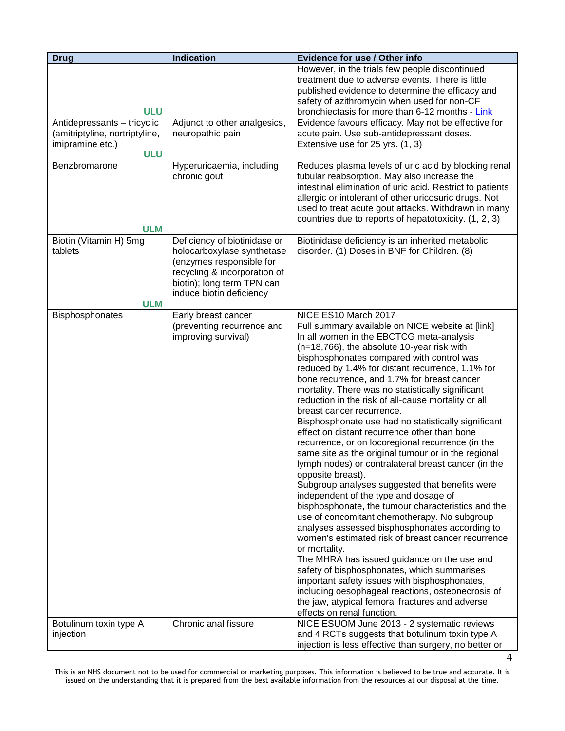| <b>Drug</b>                          | <b>Indication</b>                         | Evidence for use / Other info                                                                             |
|--------------------------------------|-------------------------------------------|-----------------------------------------------------------------------------------------------------------|
|                                      |                                           | However, in the trials few people discontinued                                                            |
|                                      |                                           | treatment due to adverse events. There is little<br>published evidence to determine the efficacy and      |
|                                      |                                           | safety of azithromycin when used for non-CF                                                               |
| <b>ULU</b>                           |                                           | bronchiectasis for more than 6-12 months - Link                                                           |
| Antidepressants - tricyclic          | Adjunct to other analgesics,              | Evidence favours efficacy. May not be effective for                                                       |
| (amitriptyline, nortriptyline,       | neuropathic pain                          | acute pain. Use sub-antidepressant doses.                                                                 |
| imipramine etc.)                     |                                           | Extensive use for 25 yrs. (1, 3)                                                                          |
| <b>ULU</b>                           |                                           |                                                                                                           |
| Benzbromarone                        | Hyperuricaemia, including<br>chronic gout | Reduces plasma levels of uric acid by blocking renal<br>tubular reabsorption. May also increase the       |
|                                      |                                           | intestinal elimination of uric acid. Restrict to patients                                                 |
|                                      |                                           | allergic or intolerant of other uricosuric drugs. Not                                                     |
|                                      |                                           | used to treat acute gout attacks. Withdrawn in many                                                       |
|                                      |                                           | countries due to reports of hepatotoxicity. (1, 2, 3)                                                     |
| <b>ULM</b><br>Biotin (Vitamin H) 5mg | Deficiency of biotinidase or              | Biotinidase deficiency is an inherited metabolic                                                          |
| tablets                              | holocarboxylase synthetase                | disorder. (1) Doses in BNF for Children. (8)                                                              |
|                                      | (enzymes responsible for                  |                                                                                                           |
|                                      | recycling & incorporation of              |                                                                                                           |
|                                      | biotin); long term TPN can                |                                                                                                           |
| <b>ULM</b>                           | induce biotin deficiency                  |                                                                                                           |
| Bisphosphonates                      | Early breast cancer                       | NICE ES10 March 2017                                                                                      |
|                                      | (preventing recurrence and                | Full summary available on NICE website at [link]                                                          |
|                                      | improving survival)                       | In all women in the EBCTCG meta-analysis                                                                  |
|                                      |                                           | (n=18,766), the absolute 10-year risk with                                                                |
|                                      |                                           | bisphosphonates compared with control was<br>reduced by 1.4% for distant recurrence, 1.1% for             |
|                                      |                                           | bone recurrence, and 1.7% for breast cancer                                                               |
|                                      |                                           | mortality. There was no statistically significant                                                         |
|                                      |                                           | reduction in the risk of all-cause mortality or all                                                       |
|                                      |                                           | breast cancer recurrence.                                                                                 |
|                                      |                                           | Bisphosphonate use had no statistically significant                                                       |
|                                      |                                           | effect on distant recurrence other than bone<br>recurrence, or on locoregional recurrence (in the         |
|                                      |                                           | same site as the original tumour or in the regional                                                       |
|                                      |                                           | lymph nodes) or contralateral breast cancer (in the                                                       |
|                                      |                                           | opposite breast).                                                                                         |
|                                      |                                           | Subgroup analyses suggested that benefits were                                                            |
|                                      |                                           | independent of the type and dosage of<br>bisphosphonate, the tumour characteristics and the               |
|                                      |                                           | use of concomitant chemotherapy. No subgroup                                                              |
|                                      |                                           | analyses assessed bisphosphonates according to                                                            |
|                                      |                                           | women's estimated risk of breast cancer recurrence                                                        |
|                                      |                                           | or mortality.                                                                                             |
|                                      |                                           | The MHRA has issued guidance on the use and                                                               |
|                                      |                                           | safety of bisphosphonates, which summarises<br>important safety issues with bisphosphonates,              |
|                                      |                                           | including oesophageal reactions, osteonecrosis of                                                         |
|                                      |                                           | the jaw, atypical femoral fractures and adverse                                                           |
|                                      |                                           | effects on renal function.                                                                                |
| Botulinum toxin type A               | Chronic anal fissure                      | NICE ESUOM June 2013 - 2 systematic reviews                                                               |
| injection                            |                                           | and 4 RCTs suggests that botulinum toxin type A<br>injection is less effective than surgery, no better or |
|                                      |                                           |                                                                                                           |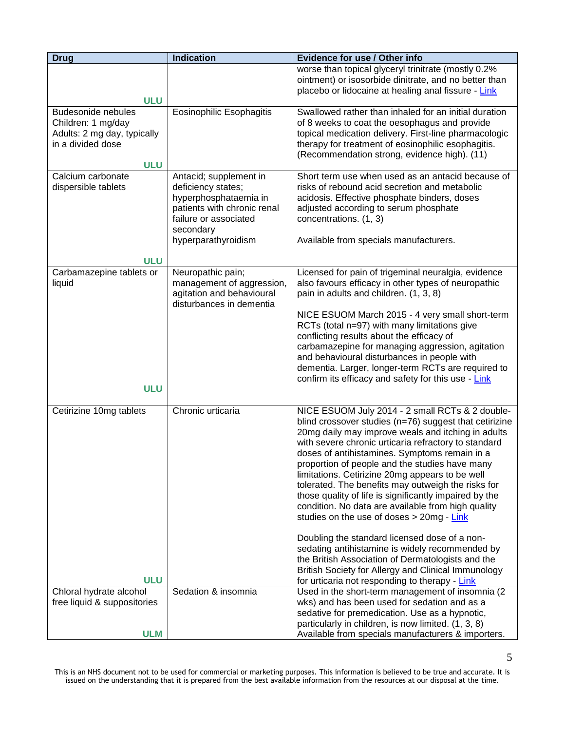| <b>Drug</b>                                                                                                       | <b>Indication</b>                                                                                                                                                 | Evidence for use / Other info                                                                                                                                                                                                                                                                                                                                                                                                                                                                                                                                                                                                                                                                                                                                                                                                                                                                                             |
|-------------------------------------------------------------------------------------------------------------------|-------------------------------------------------------------------------------------------------------------------------------------------------------------------|---------------------------------------------------------------------------------------------------------------------------------------------------------------------------------------------------------------------------------------------------------------------------------------------------------------------------------------------------------------------------------------------------------------------------------------------------------------------------------------------------------------------------------------------------------------------------------------------------------------------------------------------------------------------------------------------------------------------------------------------------------------------------------------------------------------------------------------------------------------------------------------------------------------------------|
| <b>ULU</b>                                                                                                        |                                                                                                                                                                   | worse than topical glyceryl trinitrate (mostly 0.2%<br>ointment) or isosorbide dinitrate, and no better than<br>placebo or lidocaine at healing anal fissure - Link                                                                                                                                                                                                                                                                                                                                                                                                                                                                                                                                                                                                                                                                                                                                                       |
| <b>Budesonide nebules</b><br>Children: 1 mg/day<br>Adults: 2 mg day, typically<br>in a divided dose<br><b>ULU</b> | Eosinophilic Esophagitis                                                                                                                                          | Swallowed rather than inhaled for an initial duration<br>of 8 weeks to coat the oesophagus and provide<br>topical medication delivery. First-line pharmacologic<br>therapy for treatment of eosinophilic esophagitis.<br>(Recommendation strong, evidence high). (11)                                                                                                                                                                                                                                                                                                                                                                                                                                                                                                                                                                                                                                                     |
| Calcium carbonate<br>dispersible tablets<br><b>ULU</b>                                                            | Antacid; supplement in<br>deficiency states;<br>hyperphosphataemia in<br>patients with chronic renal<br>failure or associated<br>secondary<br>hyperparathyroidism | Short term use when used as an antacid because of<br>risks of rebound acid secretion and metabolic<br>acidosis. Effective phosphate binders, doses<br>adjusted according to serum phosphate<br>concentrations. (1, 3)<br>Available from specials manufacturers.                                                                                                                                                                                                                                                                                                                                                                                                                                                                                                                                                                                                                                                           |
| Carbamazepine tablets or<br>liquid<br><b>ULU</b>                                                                  | Neuropathic pain;<br>management of aggression,<br>agitation and behavioural<br>disturbances in dementia                                                           | Licensed for pain of trigeminal neuralgia, evidence<br>also favours efficacy in other types of neuropathic<br>pain in adults and children. (1, 3, 8)<br>NICE ESUOM March 2015 - 4 very small short-term<br>RCTs (total n=97) with many limitations give<br>conflicting results about the efficacy of<br>carbamazepine for managing aggression, agitation<br>and behavioural disturbances in people with<br>dementia. Larger, longer-term RCTs are required to<br>confirm its efficacy and safety for this use - Link                                                                                                                                                                                                                                                                                                                                                                                                      |
| Cetirizine 10mg tablets<br><b>ULU</b><br>Chloral hydrate alcohol                                                  | Chronic urticaria<br>Sedation & insomnia                                                                                                                          | NICE ESUOM July 2014 - 2 small RCTs & 2 double-<br>blind crossover studies (n=76) suggest that cetirizine<br>20mg daily may improve weals and itching in adults<br>with severe chronic urticaria refractory to standard<br>doses of antihistamines. Symptoms remain in a<br>proportion of people and the studies have many<br>limitations. Cetirizine 20mg appears to be well<br>tolerated. The benefits may outweigh the risks for<br>those quality of life is significantly impaired by the<br>condition. No data are available from high quality<br>studies on the use of doses $>$ 20mg - Link<br>Doubling the standard licensed dose of a non-<br>sedating antihistamine is widely recommended by<br>the British Association of Dermatologists and the<br>British Society for Allergy and Clinical Immunology<br>for urticaria not responding to therapy - Link<br>Used in the short-term management of insomnia (2) |
| free liquid & suppositories<br><b>ULM</b>                                                                         |                                                                                                                                                                   | wks) and has been used for sedation and as a<br>sedative for premedication. Use as a hypnotic,<br>particularly in children, is now limited. (1, 3, 8)<br>Available from specials manufacturers & importers.                                                                                                                                                                                                                                                                                                                                                                                                                                                                                                                                                                                                                                                                                                               |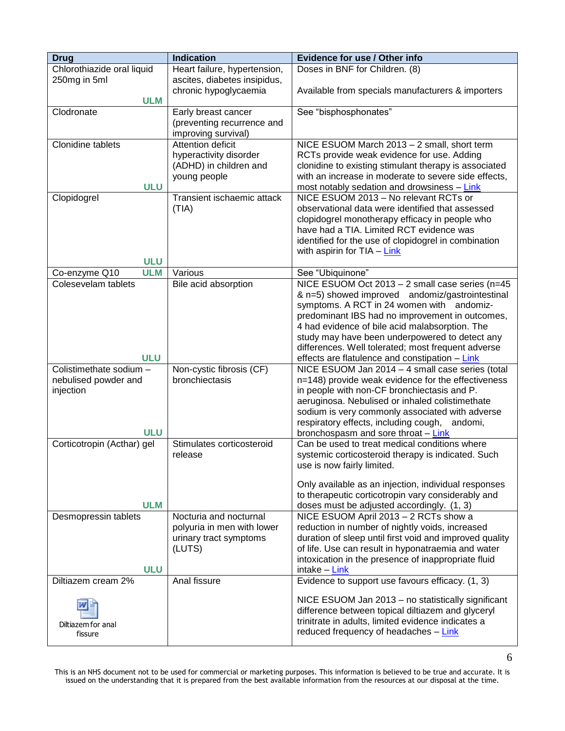| <b>Drug</b>                                                                | <b>Indication</b>                                                                        | Evidence for use / Other info                                                                                                                                                                                                                                                                                                                                |
|----------------------------------------------------------------------------|------------------------------------------------------------------------------------------|--------------------------------------------------------------------------------------------------------------------------------------------------------------------------------------------------------------------------------------------------------------------------------------------------------------------------------------------------------------|
| Chlorothiazide oral liquid<br>250mg in 5ml                                 | Heart failure, hypertension,<br>ascites, diabetes insipidus,                             | Doses in BNF for Children. (8)                                                                                                                                                                                                                                                                                                                               |
| <b>ULM</b>                                                                 | chronic hypoglycaemia                                                                    | Available from specials manufacturers & importers                                                                                                                                                                                                                                                                                                            |
| Clodronate                                                                 | Early breast cancer                                                                      | See "bisphosphonates"                                                                                                                                                                                                                                                                                                                                        |
|                                                                            | (preventing recurrence and<br>improving survival)                                        |                                                                                                                                                                                                                                                                                                                                                              |
| Clonidine tablets                                                          | Attention deficit                                                                        | NICE ESUOM March 2013 - 2 small, short term                                                                                                                                                                                                                                                                                                                  |
| <b>ULU</b>                                                                 | hyperactivity disorder<br>(ADHD) in children and<br>young people                         | RCTs provide weak evidence for use. Adding<br>clonidine to existing stimulant therapy is associated<br>with an increase in moderate to severe side effects,<br>most notably sedation and drowsiness - Link                                                                                                                                                   |
| Clopidogrel                                                                | Transient ischaemic attack<br>(TIA)                                                      | NICE ESUOM 2013 - No relevant RCTs or<br>observational data were identified that assessed<br>clopidogrel monotherapy efficacy in people who<br>have had a TIA. Limited RCT evidence was<br>identified for the use of clopidogrel in combination<br>with aspirin for TIA - Link                                                                               |
| <b>ULU</b>                                                                 |                                                                                          |                                                                                                                                                                                                                                                                                                                                                              |
| <b>ULM</b><br>Co-enzyme Q10                                                | Various                                                                                  | See "Ubiquinone"                                                                                                                                                                                                                                                                                                                                             |
| Colesevelam tablets                                                        | Bile acid absorption                                                                     | NICE ESUOM Oct 2013 - 2 small case series (n=45<br>& n=5) showed improved andomiz/gastrointestinal<br>symptoms. A RCT in 24 women with andomiz-<br>predominant IBS had no improvement in outcomes,<br>4 had evidence of bile acid malabsorption. The<br>study may have been underpowered to detect any<br>differences. Well tolerated; most frequent adverse |
| <b>ULU</b>                                                                 |                                                                                          | effects are flatulence and constipation - Link                                                                                                                                                                                                                                                                                                               |
| Colistimethate sodium -<br>nebulised powder and<br>injection<br><b>ULU</b> | Non-cystic fibrosis (CF)<br>bronchiectasis                                               | NICE ESUOM Jan 2014 - 4 small case series (total<br>n=148) provide weak evidence for the effectiveness<br>in people with non-CF bronchiectasis and P.<br>aeruginosa. Nebulised or inhaled colistimethate<br>sodium is very commonly associated with adverse<br>respiratory effects, including cough, andomi,<br>bronchospasm and sore throat - Link          |
| Corticotropin (Acthar) gel                                                 | Stimulates corticosteroid<br>release                                                     | Can be used to treat medical conditions where<br>systemic corticosteroid therapy is indicated. Such<br>use is now fairly limited.                                                                                                                                                                                                                            |
| <b>ULM</b>                                                                 |                                                                                          | Only available as an injection, individual responses<br>to therapeutic corticotropin vary considerably and<br>doses must be adjusted accordingly. (1, 3)                                                                                                                                                                                                     |
| Desmopressin tablets<br><b>ULU</b>                                         | Nocturia and nocturnal<br>polyuria in men with lower<br>urinary tract symptoms<br>(LUTS) | NICE ESUOM April 2013 - 2 RCTs show a<br>reduction in number of nightly voids, increased<br>duration of sleep until first void and improved quality<br>of life. Use can result in hyponatraemia and water<br>intoxication in the presence of inappropriate fluid<br>intake - Link                                                                            |
| Diltiazem cream 2%                                                         | Anal fissure                                                                             | Evidence to support use favours efficacy. (1, 3)                                                                                                                                                                                                                                                                                                             |
| Diltiazem for anal<br>fissure                                              |                                                                                          | NICE ESUOM Jan 2013 - no statistically significant<br>difference between topical diltiazem and glyceryl<br>trinitrate in adults, limited evidence indicates a<br>reduced frequency of headaches - Link                                                                                                                                                       |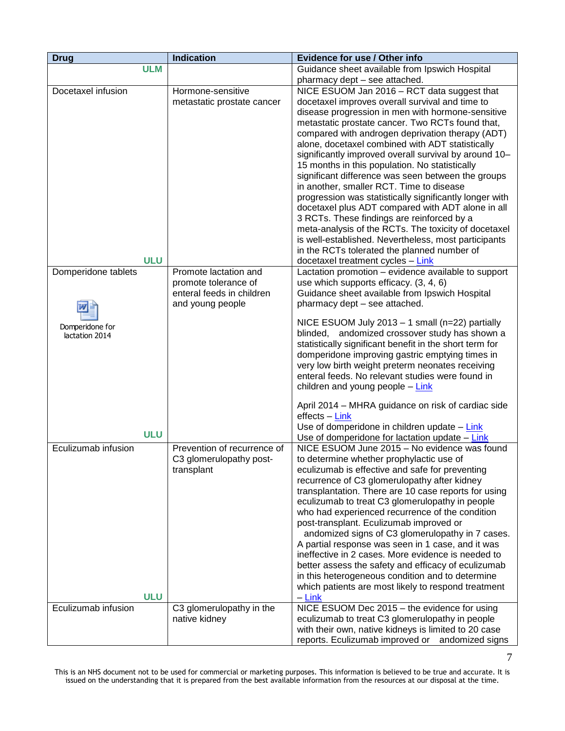| <b>Drug</b>                       |            | <b>Indication</b>                                                                              | Evidence for use / Other info                                                                                                                                                                                                                                                                                                                                                                                                                                                                                                                                                                                                                                                                                                                                                                              |
|-----------------------------------|------------|------------------------------------------------------------------------------------------------|------------------------------------------------------------------------------------------------------------------------------------------------------------------------------------------------------------------------------------------------------------------------------------------------------------------------------------------------------------------------------------------------------------------------------------------------------------------------------------------------------------------------------------------------------------------------------------------------------------------------------------------------------------------------------------------------------------------------------------------------------------------------------------------------------------|
|                                   | <b>ULM</b> |                                                                                                | Guidance sheet available from Ipswich Hospital                                                                                                                                                                                                                                                                                                                                                                                                                                                                                                                                                                                                                                                                                                                                                             |
|                                   |            |                                                                                                | pharmacy dept - see attached.                                                                                                                                                                                                                                                                                                                                                                                                                                                                                                                                                                                                                                                                                                                                                                              |
| Docetaxel infusion                |            | Hormone-sensitive<br>metastatic prostate cancer                                                | NICE ESUOM Jan 2016 - RCT data suggest that<br>docetaxel improves overall survival and time to<br>disease progression in men with hormone-sensitive<br>metastatic prostate cancer. Two RCTs found that,<br>compared with androgen deprivation therapy (ADT)<br>alone, docetaxel combined with ADT statistically<br>significantly improved overall survival by around 10-<br>15 months in this population. No statistically<br>significant difference was seen between the groups<br>in another, smaller RCT. Time to disease<br>progression was statistically significantly longer with<br>docetaxel plus ADT compared with ADT alone in all<br>3 RCTs. These findings are reinforced by a<br>meta-analysis of the RCTs. The toxicity of docetaxel<br>is well-established. Nevertheless, most participants |
|                                   |            |                                                                                                | in the RCTs tolerated the planned number of                                                                                                                                                                                                                                                                                                                                                                                                                                                                                                                                                                                                                                                                                                                                                                |
|                                   | <b>ULU</b> |                                                                                                | docetaxel treatment cycles - Link                                                                                                                                                                                                                                                                                                                                                                                                                                                                                                                                                                                                                                                                                                                                                                          |
| Domperidone tablets               |            | Promote lactation and<br>promote tolerance of<br>enteral feeds in children<br>and young people | Lactation promotion - evidence available to support<br>use which supports efficacy. (3, 4, 6)<br>Guidance sheet available from Ipswich Hospital<br>pharmacy dept - see attached.                                                                                                                                                                                                                                                                                                                                                                                                                                                                                                                                                                                                                           |
|                                   |            |                                                                                                |                                                                                                                                                                                                                                                                                                                                                                                                                                                                                                                                                                                                                                                                                                                                                                                                            |
| Domperidone for<br>lactation 2014 |            |                                                                                                | NICE ESUOM July 2013 - 1 small (n=22) partially<br>blinded, andomized crossover study has shown a<br>statistically significant benefit in the short term for<br>domperidone improving gastric emptying times in<br>very low birth weight preterm neonates receiving<br>enteral feeds. No relevant studies were found in<br>children and young people - Link                                                                                                                                                                                                                                                                                                                                                                                                                                                |
|                                   | <b>ULU</b> |                                                                                                | April 2014 - MHRA guidance on risk of cardiac side<br>effects - Link<br>Use of domperidone in children update - Link<br>Use of domperidone for lactation update - Link                                                                                                                                                                                                                                                                                                                                                                                                                                                                                                                                                                                                                                     |
| Eculizumab infusion               | <b>ULU</b> | Prevention of recurrence of<br>C3 glomerulopathy post-<br>transplant                           | NICE ESUOM June 2015 - No evidence was found<br>to determine whether prophylactic use of<br>eculizumab is effective and safe for preventing<br>recurrence of C3 glomerulopathy after kidney<br>transplantation. There are 10 case reports for using<br>eculizumab to treat C3 glomerulopathy in people<br>who had experienced recurrence of the condition<br>post-transplant. Eculizumab improved or<br>andomized signs of C3 glomerulopathy in 7 cases.<br>A partial response was seen in 1 case, and it was<br>ineffective in 2 cases. More evidence is needed to<br>better assess the safety and efficacy of eculizumab<br>in this heterogeneous condition and to determine<br>which patients are most likely to respond treatment<br>$-Link$                                                           |
| Eculizumab infusion               |            | C3 glomerulopathy in the<br>native kidney                                                      | NICE ESUOM Dec 2015 - the evidence for using<br>eculizumab to treat C3 glomerulopathy in people<br>with their own, native kidneys is limited to 20 case<br>reports. Eculizumab improved or andomized signs                                                                                                                                                                                                                                                                                                                                                                                                                                                                                                                                                                                                 |

7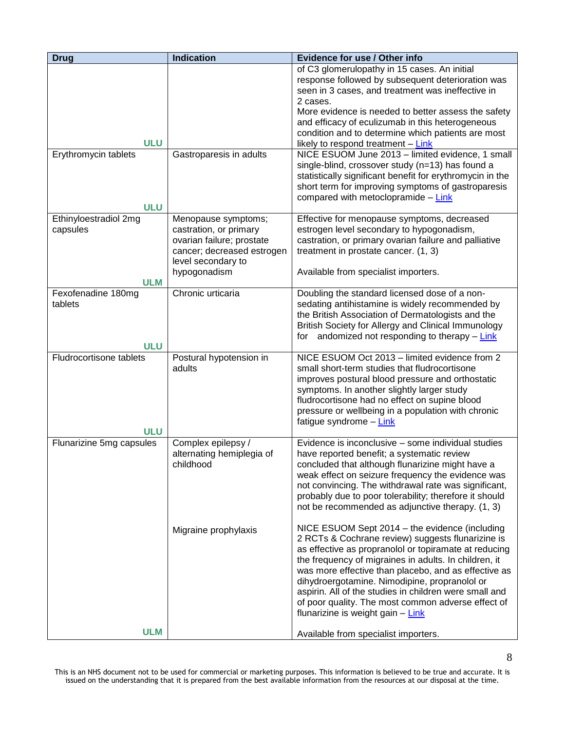| <b>Drug</b>                                 | <b>Indication</b>                                                                                                                              | Evidence for use / Other info                                                                                                                                                                                                                                                                                                                                                                                                                                                       |
|---------------------------------------------|------------------------------------------------------------------------------------------------------------------------------------------------|-------------------------------------------------------------------------------------------------------------------------------------------------------------------------------------------------------------------------------------------------------------------------------------------------------------------------------------------------------------------------------------------------------------------------------------------------------------------------------------|
|                                             |                                                                                                                                                | of C3 glomerulopathy in 15 cases. An initial<br>response followed by subsequent deterioration was<br>seen in 3 cases, and treatment was ineffective in<br>2 cases.<br>More evidence is needed to better assess the safety                                                                                                                                                                                                                                                           |
| <b>ULU</b>                                  |                                                                                                                                                | and efficacy of eculizumab in this heterogeneous<br>condition and to determine which patients are most<br>likely to respond treatment - Link                                                                                                                                                                                                                                                                                                                                        |
| Erythromycin tablets<br><b>ULU</b>          | Gastroparesis in adults                                                                                                                        | NICE ESUOM June 2013 - limited evidence, 1 small<br>single-blind, crossover study (n=13) has found a<br>statistically significant benefit for erythromycin in the<br>short term for improving symptoms of gastroparesis<br>compared with metoclopramide - Link                                                                                                                                                                                                                      |
| Ethinyloestradiol 2mg<br>capsules           | Menopause symptoms;<br>castration, or primary<br>ovarian failure; prostate<br>cancer; decreased estrogen<br>level secondary to<br>hypogonadism | Effective for menopause symptoms, decreased<br>estrogen level secondary to hypogonadism,<br>castration, or primary ovarian failure and palliative<br>treatment in prostate cancer. (1, 3)                                                                                                                                                                                                                                                                                           |
| <b>ULM</b>                                  |                                                                                                                                                | Available from specialist importers.                                                                                                                                                                                                                                                                                                                                                                                                                                                |
| Fexofenadine 180mg<br>tablets<br><b>ULU</b> | Chronic urticaria                                                                                                                              | Doubling the standard licensed dose of a non-<br>sedating antihistamine is widely recommended by<br>the British Association of Dermatologists and the<br>British Society for Allergy and Clinical Immunology<br>for andomized not responding to therapy $-\frac{\text{Link}}{\text{Link}}$                                                                                                                                                                                          |
| Fludrocortisone tablets<br><b>ULU</b>       | Postural hypotension in<br>adults                                                                                                              | NICE ESUOM Oct 2013 - limited evidence from 2<br>small short-term studies that fludrocortisone<br>improves postural blood pressure and orthostatic<br>symptoms. In another slightly larger study<br>fludrocortisone had no effect on supine blood<br>pressure or wellbeing in a population with chronic<br>fatigue syndrome - Link                                                                                                                                                  |
| Flunarizine 5mg capsules                    | Complex epilepsy /<br>alternating hemiplegia of<br>childhood                                                                                   | Evidence is inconclusive - some individual studies<br>have reported benefit; a systematic review<br>concluded that although flunarizine might have a<br>weak effect on seizure frequency the evidence was<br>not convincing. The withdrawal rate was significant,<br>probably due to poor tolerability; therefore it should<br>not be recommended as adjunctive therapy. (1, 3)                                                                                                     |
|                                             | Migraine prophylaxis                                                                                                                           | NICE ESUOM Sept 2014 - the evidence (including<br>2 RCTs & Cochrane review) suggests flunarizine is<br>as effective as propranolol or topiramate at reducing<br>the frequency of migraines in adults. In children, it<br>was more effective than placebo, and as effective as<br>dihydroergotamine. Nimodipine, propranolol or<br>aspirin. All of the studies in children were small and<br>of poor quality. The most common adverse effect of<br>flunarizine is weight gain - Link |
| <b>ULM</b>                                  |                                                                                                                                                | Available from specialist importers.                                                                                                                                                                                                                                                                                                                                                                                                                                                |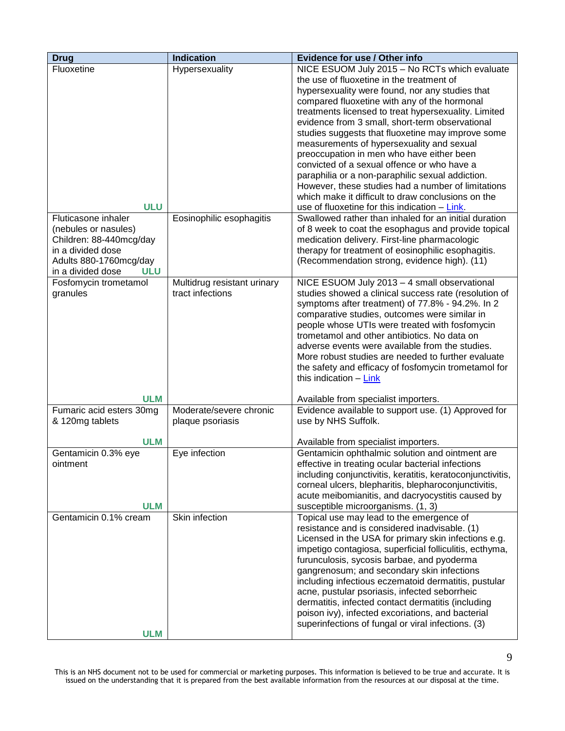| <b>Drug</b>                     | <b>Indication</b>           | <b>Evidence for use / Other info</b>                                                                      |
|---------------------------------|-----------------------------|-----------------------------------------------------------------------------------------------------------|
| Fluoxetine                      | Hypersexuality              | NICE ESUOM July 2015 - No RCTs which evaluate                                                             |
|                                 |                             | the use of fluoxetine in the treatment of                                                                 |
|                                 |                             | hypersexuality were found, nor any studies that                                                           |
|                                 |                             | compared fluoxetine with any of the hormonal                                                              |
|                                 |                             | treatments licensed to treat hypersexuality. Limited                                                      |
|                                 |                             | evidence from 3 small, short-term observational                                                           |
|                                 |                             | studies suggests that fluoxetine may improve some                                                         |
|                                 |                             | measurements of hypersexuality and sexual                                                                 |
|                                 |                             | preoccupation in men who have either been                                                                 |
|                                 |                             | convicted of a sexual offence or who have a                                                               |
|                                 |                             | paraphilia or a non-paraphilic sexual addiction.                                                          |
|                                 |                             | However, these studies had a number of limitations<br>which make it difficult to draw conclusions on the  |
| <b>ULU</b>                      |                             | use of fluoxetine for this indication $-\frac{\text{Link}}{\text{Link}}$ .                                |
| Fluticasone inhaler             | Eosinophilic esophagitis    | Swallowed rather than inhaled for an initial duration                                                     |
| (nebules or nasules)            |                             | of 8 week to coat the esophagus and provide topical                                                       |
| Children: 88-440mcg/day         |                             | medication delivery. First-line pharmacologic                                                             |
| in a divided dose               |                             | therapy for treatment of eosinophilic esophagitis.                                                        |
| Adults 880-1760mcg/day          |                             | (Recommendation strong, evidence high). (11)                                                              |
| in a divided dose<br><b>ULU</b> |                             |                                                                                                           |
| Fosfomycin trometamol           | Multidrug resistant urinary | NICE ESUOM July 2013 - 4 small observational                                                              |
| granules                        | tract infections            | studies showed a clinical success rate (resolution of                                                     |
|                                 |                             | symptoms after treatment) of 77.8% - 94.2%. In 2                                                          |
|                                 |                             | comparative studies, outcomes were similar in                                                             |
|                                 |                             | people whose UTIs were treated with fosfomycin                                                            |
|                                 |                             | trometamol and other antibiotics. No data on                                                              |
|                                 |                             | adverse events were available from the studies.                                                           |
|                                 |                             | More robust studies are needed to further evaluate                                                        |
|                                 |                             | the safety and efficacy of fosfomycin trometamol for                                                      |
|                                 |                             | this indication $-\underline{\text{Link}}$                                                                |
| <b>ULM</b>                      |                             | Available from specialist importers.                                                                      |
| Fumaric acid esters 30mg        | Moderate/severe chronic     | Evidence available to support use. (1) Approved for                                                       |
| & 120mg tablets                 | plaque psoriasis            | use by NHS Suffolk.                                                                                       |
|                                 |                             |                                                                                                           |
| <b>ULM</b>                      |                             | Available from specialist importers.                                                                      |
| Gentamicin 0.3% eye             | Eye infection               | Gentamicin ophthalmic solution and ointment are                                                           |
| ointment                        |                             | effective in treating ocular bacterial infections                                                         |
|                                 |                             | including conjunctivitis, keratitis, keratoconjunctivitis,                                                |
|                                 |                             | corneal ulcers, blepharitis, blepharoconjunctivitis,<br>acute meibomianitis, and dacryocystitis caused by |
| <b>ULM</b>                      |                             | susceptible microorganisms. (1, 3)                                                                        |
| Gentamicin 0.1% cream           | Skin infection              | Topical use may lead to the emergence of                                                                  |
|                                 |                             | resistance and is considered inadvisable. (1)                                                             |
|                                 |                             | Licensed in the USA for primary skin infections e.g.                                                      |
|                                 |                             | impetigo contagiosa, superficial folliculitis, ecthyma,                                                   |
|                                 |                             | furunculosis, sycosis barbae, and pyoderma                                                                |
|                                 |                             | gangrenosum; and secondary skin infections                                                                |
|                                 |                             | including infectious eczematoid dermatitis, pustular                                                      |
|                                 |                             | acne, pustular psoriasis, infected seborrheic                                                             |
|                                 |                             | dermatitis, infected contact dermatitis (including                                                        |
|                                 |                             | poison ivy), infected excoriations, and bacterial                                                         |
|                                 |                             | superinfections of fungal or viral infections. (3)                                                        |
| <b>ULM</b>                      |                             |                                                                                                           |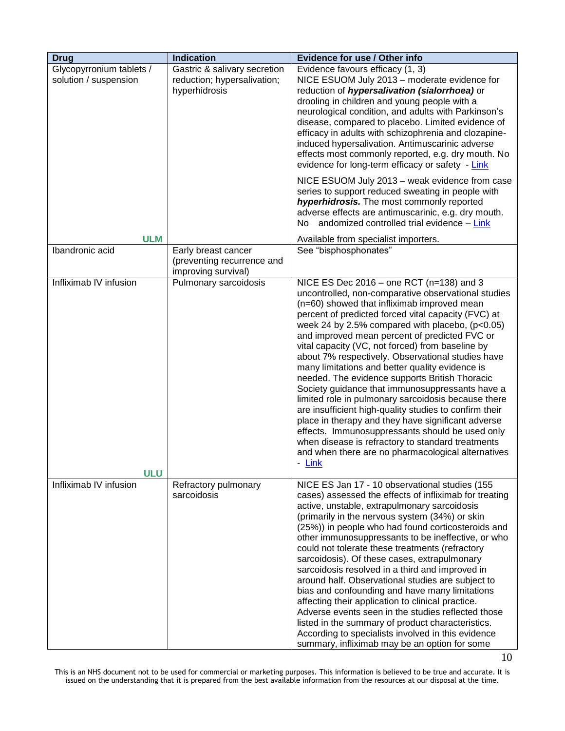| <b>Drug</b>                                       | <b>Indication</b>                                                            | <b>Evidence for use / Other info</b>                                                                                                                                                                                                                                                                                                                                                                                                                                                                                                                                                                                                                                                                                                                                                                                                                                                                                             |
|---------------------------------------------------|------------------------------------------------------------------------------|----------------------------------------------------------------------------------------------------------------------------------------------------------------------------------------------------------------------------------------------------------------------------------------------------------------------------------------------------------------------------------------------------------------------------------------------------------------------------------------------------------------------------------------------------------------------------------------------------------------------------------------------------------------------------------------------------------------------------------------------------------------------------------------------------------------------------------------------------------------------------------------------------------------------------------|
| Glycopyrronium tablets /<br>solution / suspension | Gastric & salivary secretion<br>reduction; hypersalivation;<br>hyperhidrosis | Evidence favours efficacy (1, 3)<br>NICE ESUOM July 2013 - moderate evidence for<br>reduction of <i>hypersalivation (sialorrhoea)</i> or<br>drooling in children and young people with a<br>neurological condition, and adults with Parkinson's<br>disease, compared to placebo. Limited evidence of<br>efficacy in adults with schizophrenia and clozapine-<br>induced hypersalivation. Antimuscarinic adverse<br>effects most commonly reported, e.g. dry mouth. No<br>evidence for long-term efficacy or safety - Link                                                                                                                                                                                                                                                                                                                                                                                                        |
|                                                   |                                                                              | NICE ESUOM July 2013 - weak evidence from case<br>series to support reduced sweating in people with<br>hyperhidrosis. The most commonly reported<br>adverse effects are antimuscarinic, e.g. dry mouth.<br>No andomized controlled trial evidence - Link                                                                                                                                                                                                                                                                                                                                                                                                                                                                                                                                                                                                                                                                         |
| <b>ULM</b>                                        |                                                                              | Available from specialist importers.                                                                                                                                                                                                                                                                                                                                                                                                                                                                                                                                                                                                                                                                                                                                                                                                                                                                                             |
| Ibandronic acid                                   | Early breast cancer<br>(preventing recurrence and<br>improving survival)     | See "bisphosphonates"                                                                                                                                                                                                                                                                                                                                                                                                                                                                                                                                                                                                                                                                                                                                                                                                                                                                                                            |
| Infliximab IV infusion<br><b>ULU</b>              | Pulmonary sarcoidosis                                                        | NICE ES Dec 2016 - one RCT (n=138) and 3<br>uncontrolled, non-comparative observational studies<br>(n=60) showed that infliximab improved mean<br>percent of predicted forced vital capacity (FVC) at<br>week 24 by 2.5% compared with placebo, (p<0.05)<br>and improved mean percent of predicted FVC or<br>vital capacity (VC, not forced) from baseline by<br>about 7% respectively. Observational studies have<br>many limitations and better quality evidence is<br>needed. The evidence supports British Thoracic<br>Society guidance that immunosuppressants have a<br>limited role in pulmonary sarcoidosis because there<br>are insufficient high-quality studies to confirm their<br>place in therapy and they have significant adverse<br>effects. Immunosuppressants should be used only<br>when disease is refractory to standard treatments<br>and when there are no pharmacological alternatives<br>- <u>Link</u> |
| Infliximab IV infusion                            | Refractory pulmonary<br>sarcoidosis                                          | NICE ES Jan 17 - 10 observational studies (155<br>cases) assessed the effects of infliximab for treating<br>active, unstable, extrapulmonary sarcoidosis<br>(primarily in the nervous system (34%) or skin<br>(25%)) in people who had found corticosteroids and<br>other immunosuppressants to be ineffective, or who<br>could not tolerate these treatments (refractory<br>sarcoidosis). Of these cases, extrapulmonary<br>sarcoidosis resolved in a third and improved in<br>around half. Observational studies are subject to<br>bias and confounding and have many limitations<br>affecting their application to clinical practice.<br>Adverse events seen in the studies reflected those<br>listed in the summary of product characteristics.<br>According to specialists involved in this evidence<br>summary, infliximab may be an option for some                                                                       |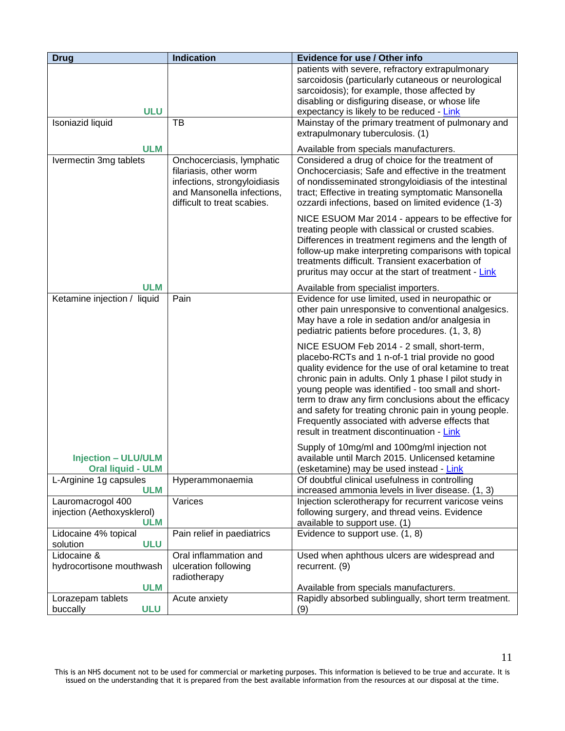| <b>Drug</b>                                                   | <b>Indication</b>                                                                                                                                | Evidence for use / Other info                                                                                                                                                                                                                                                                                                                                                                                                                                                            |
|---------------------------------------------------------------|--------------------------------------------------------------------------------------------------------------------------------------------------|------------------------------------------------------------------------------------------------------------------------------------------------------------------------------------------------------------------------------------------------------------------------------------------------------------------------------------------------------------------------------------------------------------------------------------------------------------------------------------------|
| <b>ULU</b>                                                    |                                                                                                                                                  | patients with severe, refractory extrapulmonary<br>sarcoidosis (particularly cutaneous or neurological<br>sarcoidosis); for example, those affected by<br>disabling or disfiguring disease, or whose life<br>expectancy is likely to be reduced - Link                                                                                                                                                                                                                                   |
| Isoniazid liquid                                              | ТB                                                                                                                                               | Mainstay of the primary treatment of pulmonary and<br>extrapulmonary tuberculosis. (1)                                                                                                                                                                                                                                                                                                                                                                                                   |
| <b>ULM</b>                                                    |                                                                                                                                                  | Available from specials manufacturers.                                                                                                                                                                                                                                                                                                                                                                                                                                                   |
| Ivermectin 3mg tablets                                        | Onchocerciasis, lymphatic<br>filariasis, other worm<br>infections, strongyloidiasis<br>and Mansonella infections,<br>difficult to treat scabies. | Considered a drug of choice for the treatment of<br>Onchocerciasis; Safe and effective in the treatment<br>of nondisseminated strongyloidiasis of the intestinal<br>tract; Effective in treating symptomatic Mansonella<br>ozzardi infections, based on limited evidence (1-3)                                                                                                                                                                                                           |
|                                                               |                                                                                                                                                  | NICE ESUOM Mar 2014 - appears to be effective for<br>treating people with classical or crusted scabies.<br>Differences in treatment regimens and the length of<br>follow-up make interpreting comparisons with topical<br>treatments difficult. Transient exacerbation of<br>pruritus may occur at the start of treatment - Link                                                                                                                                                         |
| <b>ULM</b>                                                    |                                                                                                                                                  | Available from specialist importers.                                                                                                                                                                                                                                                                                                                                                                                                                                                     |
| Ketamine injection / liquid                                   | Pain                                                                                                                                             | Evidence for use limited, used in neuropathic or<br>other pain unresponsive to conventional analgesics.<br>May have a role in sedation and/or analgesia in<br>pediatric patients before procedures. (1, 3, 8)                                                                                                                                                                                                                                                                            |
|                                                               |                                                                                                                                                  | NICE ESUOM Feb 2014 - 2 small, short-term,<br>placebo-RCTs and 1 n-of-1 trial provide no good<br>quality evidence for the use of oral ketamine to treat<br>chronic pain in adults. Only 1 phase I pilot study in<br>young people was identified - too small and short-<br>term to draw any firm conclusions about the efficacy<br>and safety for treating chronic pain in young people.<br>Frequently associated with adverse effects that<br>result in treatment discontinuation - Link |
| <b>Injection - ULU/ULM</b><br><b>Oral liquid - ULM</b>        |                                                                                                                                                  | Supply of 10mg/ml and 100mg/ml injection not<br>available until March 2015. Unlicensed ketamine<br>(esketamine) may be used instead - Link                                                                                                                                                                                                                                                                                                                                               |
| L-Arginine 1g capsules<br><b>ULM</b>                          | Hyperammonaemia                                                                                                                                  | Of doubtful clinical usefulness in controlling<br>increased ammonia levels in liver disease. (1, 3)                                                                                                                                                                                                                                                                                                                                                                                      |
| Lauromacrogol 400<br>injection (Aethoxysklerol)<br><b>ULM</b> | Varices                                                                                                                                          | Injection sclerotherapy for recurrent varicose veins<br>following surgery, and thread veins. Evidence<br>available to support use. (1)                                                                                                                                                                                                                                                                                                                                                   |
| Lidocaine 4% topical<br><b>ULU</b><br>solution                | Pain relief in paediatrics                                                                                                                       | Evidence to support use. (1, 8)                                                                                                                                                                                                                                                                                                                                                                                                                                                          |
| Lidocaine &<br>hydrocortisone mouthwash                       | Oral inflammation and<br>ulceration following<br>radiotherapy                                                                                    | Used when aphthous ulcers are widespread and<br>recurrent. (9)                                                                                                                                                                                                                                                                                                                                                                                                                           |
| <b>ULM</b>                                                    |                                                                                                                                                  | Available from specials manufacturers.                                                                                                                                                                                                                                                                                                                                                                                                                                                   |
| Lorazepam tablets<br><b>ULU</b><br>buccally                   | Acute anxiety                                                                                                                                    | Rapidly absorbed sublingually, short term treatment.<br>(9)                                                                                                                                                                                                                                                                                                                                                                                                                              |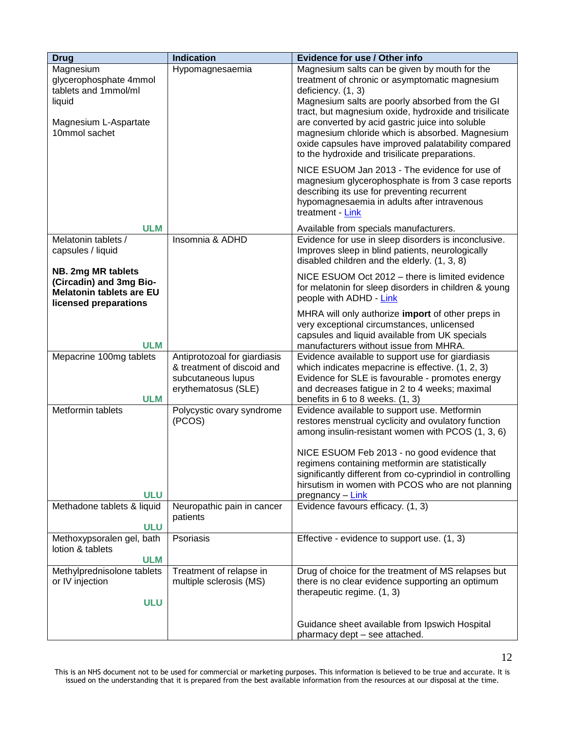| <b>Drug</b>                                                                                                     | <b>Indication</b>                                                                                       | Evidence for use / Other info                                                                                                                                                                                                                                                                                                                                                                                                                    |
|-----------------------------------------------------------------------------------------------------------------|---------------------------------------------------------------------------------------------------------|--------------------------------------------------------------------------------------------------------------------------------------------------------------------------------------------------------------------------------------------------------------------------------------------------------------------------------------------------------------------------------------------------------------------------------------------------|
| Magnesium<br>glycerophosphate 4mmol<br>tablets and 1mmol/ml<br>liquid<br>Magnesium L-Aspartate<br>10mmol sachet | Hypomagnesaemia                                                                                         | Magnesium salts can be given by mouth for the<br>treatment of chronic or asymptomatic magnesium<br>deficiency. (1, 3)<br>Magnesium salts are poorly absorbed from the GI<br>tract, but magnesium oxide, hydroxide and trisilicate<br>are converted by acid gastric juice into soluble<br>magnesium chloride which is absorbed. Magnesium<br>oxide capsules have improved palatability compared<br>to the hydroxide and trisilicate preparations. |
|                                                                                                                 |                                                                                                         | NICE ESUOM Jan 2013 - The evidence for use of<br>magnesium glycerophosphate is from 3 case reports<br>describing its use for preventing recurrent<br>hypomagnesaemia in adults after intravenous<br>treatment - Link                                                                                                                                                                                                                             |
| <b>ULM</b>                                                                                                      |                                                                                                         | Available from specials manufacturers.                                                                                                                                                                                                                                                                                                                                                                                                           |
| Melatonin tablets /<br>capsules / liquid                                                                        | Insomnia & ADHD                                                                                         | Evidence for use in sleep disorders is inconclusive.<br>Improves sleep in blind patients, neurologically<br>disabled children and the elderly. (1, 3, 8)                                                                                                                                                                                                                                                                                         |
| NB. 2mg MR tablets<br>(Circadin) and 3mg Bio-<br><b>Melatonin tablets are EU</b><br>licensed preparations       |                                                                                                         | NICE ESUOM Oct 2012 - there is limited evidence<br>for melatonin for sleep disorders in children & young<br>people with ADHD - Link                                                                                                                                                                                                                                                                                                              |
| <b>ULM</b>                                                                                                      |                                                                                                         | MHRA will only authorize import of other preps in<br>very exceptional circumstances, unlicensed<br>capsules and liquid available from UK specials<br>manufacturers without issue from MHRA.                                                                                                                                                                                                                                                      |
| Mepacrine 100mg tablets<br><b>ULM</b>                                                                           | Antiprotozoal for giardiasis<br>& treatment of discoid and<br>subcutaneous lupus<br>erythematosus (SLE) | Evidence available to support use for giardiasis<br>which indicates mepacrine is effective. (1, 2, 3)<br>Evidence for SLE is favourable - promotes energy<br>and decreases fatigue in 2 to 4 weeks; maximal<br>benefits in 6 to 8 weeks. (1, 3)                                                                                                                                                                                                  |
| Metformin tablets<br><b>ULU</b>                                                                                 | Polycystic ovary syndrome<br>(PCOS)                                                                     | Evidence available to support use. Metformin<br>restores menstrual cyclicity and ovulatory function<br>among insulin-resistant women with PCOS (1, 3, 6)<br>NICE ESUOM Feb 2013 - no good evidence that<br>regimens containing metformin are statistically<br>significantly different from co-cyprindiol in controlling<br>hirsutism in women with PCOS who are not planning<br>pregnancy - Link                                                 |
| Methadone tablets & liquid<br><b>ULU</b>                                                                        | Neuropathic pain in cancer<br>patients                                                                  | Evidence favours efficacy. (1, 3)                                                                                                                                                                                                                                                                                                                                                                                                                |
| Methoxypsoralen gel, bath<br>lotion & tablets<br><b>ULM</b>                                                     | Psoriasis                                                                                               | Effective - evidence to support use. (1, 3)                                                                                                                                                                                                                                                                                                                                                                                                      |
| Methylprednisolone tablets<br>or IV injection<br><b>ULU</b>                                                     | Treatment of relapse in<br>multiple sclerosis (MS)                                                      | Drug of choice for the treatment of MS relapses but<br>there is no clear evidence supporting an optimum<br>therapeutic regime. (1, 3)                                                                                                                                                                                                                                                                                                            |
|                                                                                                                 |                                                                                                         | Guidance sheet available from Ipswich Hospital<br>pharmacy dept - see attached.                                                                                                                                                                                                                                                                                                                                                                  |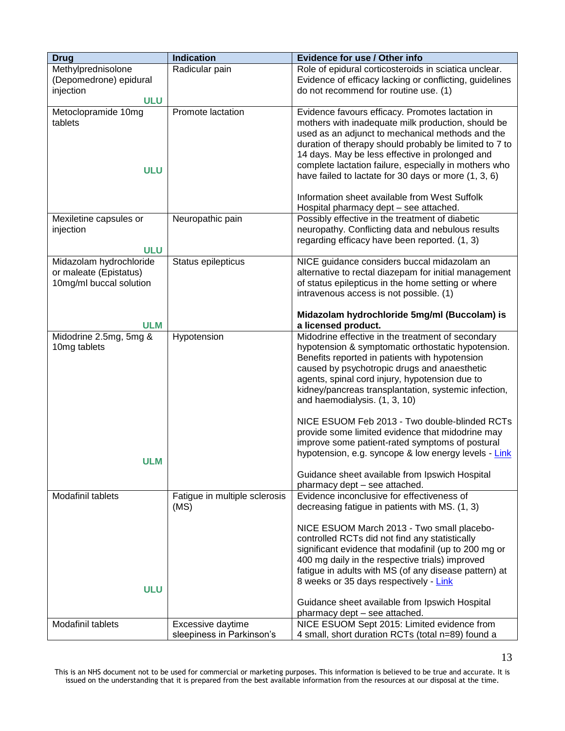| <b>Drug</b>                                                                  | <b>Indication</b>                              | Evidence for use / Other info                                                                                                                                                                                                                                                                                                                                                                                                                                                                                                                                                               |
|------------------------------------------------------------------------------|------------------------------------------------|---------------------------------------------------------------------------------------------------------------------------------------------------------------------------------------------------------------------------------------------------------------------------------------------------------------------------------------------------------------------------------------------------------------------------------------------------------------------------------------------------------------------------------------------------------------------------------------------|
| Methylprednisolone<br>(Depomedrone) epidural<br>injection<br><b>ULU</b>      | Radicular pain                                 | Role of epidural corticosteroids in sciatica unclear.<br>Evidence of efficacy lacking or conflicting, guidelines<br>do not recommend for routine use. (1)                                                                                                                                                                                                                                                                                                                                                                                                                                   |
| Metoclopramide 10mg<br>tablets<br><b>ULU</b>                                 | Promote lactation                              | Evidence favours efficacy. Promotes lactation in<br>mothers with inadequate milk production, should be<br>used as an adjunct to mechanical methods and the<br>duration of therapy should probably be limited to 7 to<br>14 days. May be less effective in prolonged and<br>complete lactation failure, especially in mothers who<br>have failed to lactate for 30 days or more (1, 3, 6)<br>Information sheet available from West Suffolk<br>Hospital pharmacy dept - see attached.                                                                                                         |
| Mexiletine capsules or<br>injection<br><b>ULU</b>                            | Neuropathic pain                               | Possibly effective in the treatment of diabetic<br>neuropathy. Conflicting data and nebulous results<br>regarding efficacy have been reported. (1, 3)                                                                                                                                                                                                                                                                                                                                                                                                                                       |
| Midazolam hydrochloride<br>or maleate (Epistatus)<br>10mg/ml buccal solution | Status epilepticus                             | NICE guidance considers buccal midazolam an<br>alternative to rectal diazepam for initial management<br>of status epilepticus in the home setting or where<br>intravenous access is not possible. (1)<br>Midazolam hydrochloride 5mg/ml (Buccolam) is                                                                                                                                                                                                                                                                                                                                       |
| <b>ULM</b><br>Midodrine 2.5mg, 5mg &<br>10mg tablets                         | Hypotension                                    | a licensed product.<br>Midodrine effective in the treatment of secondary<br>hypotension & symptomatic orthostatic hypotension.<br>Benefits reported in patients with hypotension<br>caused by psychotropic drugs and anaesthetic<br>agents, spinal cord injury, hypotension due to<br>kidney/pancreas transplantation, systemic infection,<br>and haemodialysis. (1, 3, 10)<br>NICE ESUOM Feb 2013 - Two double-blinded RCTs<br>provide some limited evidence that midodrine may<br>improve some patient-rated symptoms of postural<br>hypotension, e.g. syncope & low energy levels - Link |
| <b>ULM</b>                                                                   |                                                | Guidance sheet available from Ipswich Hospital<br>pharmacy dept - see attached.                                                                                                                                                                                                                                                                                                                                                                                                                                                                                                             |
| Modafinil tablets<br><b>ULU</b>                                              | Fatigue in multiple sclerosis<br>(MS)          | Evidence inconclusive for effectiveness of<br>decreasing fatigue in patients with MS. (1, 3)<br>NICE ESUOM March 2013 - Two small placebo-<br>controlled RCTs did not find any statistically<br>significant evidence that modafinil (up to 200 mg or<br>400 mg daily in the respective trials) improved<br>fatigue in adults with MS (of any disease pattern) at<br>8 weeks or 35 days respectively - Link<br>Guidance sheet available from Ipswich Hospital<br>pharmacy dept - see attached.                                                                                               |
| Modafinil tablets                                                            | Excessive daytime<br>sleepiness in Parkinson's | NICE ESUOM Sept 2015: Limited evidence from<br>4 small, short duration RCTs (total n=89) found a                                                                                                                                                                                                                                                                                                                                                                                                                                                                                            |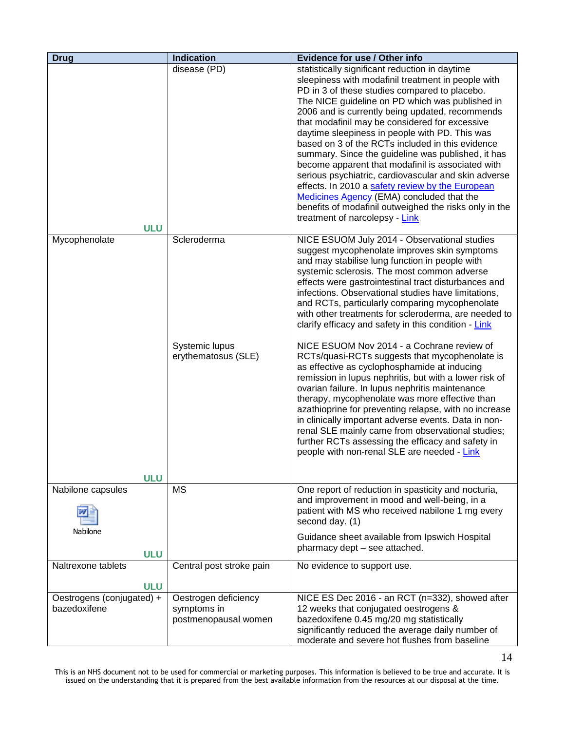| <b>Drug</b>                               | <b>Indication</b>                                           | <b>Evidence for use / Other info</b>                                                                                                                                                                                                                                                                                                                                                                                                                                                                                                                                                                                                                                                                                                                                                |
|-------------------------------------------|-------------------------------------------------------------|-------------------------------------------------------------------------------------------------------------------------------------------------------------------------------------------------------------------------------------------------------------------------------------------------------------------------------------------------------------------------------------------------------------------------------------------------------------------------------------------------------------------------------------------------------------------------------------------------------------------------------------------------------------------------------------------------------------------------------------------------------------------------------------|
| <b>ULU</b>                                | disease (PD)                                                | statistically significant reduction in daytime<br>sleepiness with modafinil treatment in people with<br>PD in 3 of these studies compared to placebo.<br>The NICE guideline on PD which was published in<br>2006 and is currently being updated, recommends<br>that modafinil may be considered for excessive<br>daytime sleepiness in people with PD. This was<br>based on 3 of the RCTs included in this evidence<br>summary. Since the guideline was published, it has<br>become apparent that modafinil is associated with<br>serious psychiatric, cardiovascular and skin adverse<br>effects. In 2010 a safety review by the European<br>Medicines Agency (EMA) concluded that the<br>benefits of modafinil outweighed the risks only in the<br>treatment of narcolepsy - Link |
| Mycophenolate                             | Scleroderma                                                 | NICE ESUOM July 2014 - Observational studies<br>suggest mycophenolate improves skin symptoms<br>and may stabilise lung function in people with<br>systemic sclerosis. The most common adverse<br>effects were gastrointestinal tract disturbances and<br>infections. Observational studies have limitations,<br>and RCTs, particularly comparing mycophenolate<br>with other treatments for scleroderma, are needed to<br>clarify efficacy and safety in this condition - Link                                                                                                                                                                                                                                                                                                      |
| <b>ULU</b>                                | Systemic lupus<br>erythematosus (SLE)                       | NICE ESUOM Nov 2014 - a Cochrane review of<br>RCTs/quasi-RCTs suggests that mycophenolate is<br>as effective as cyclophosphamide at inducing<br>remission in lupus nephritis, but with a lower risk of<br>ovarian failure. In lupus nephritis maintenance<br>therapy, mycophenolate was more effective than<br>azathioprine for preventing relapse, with no increase<br>in clinically important adverse events. Data in non-<br>renal SLE mainly came from observational studies;<br>further RCTs assessing the efficacy and safety in<br>people with non-renal SLE are needed - Link                                                                                                                                                                                               |
| Nabilone capsules                         | <b>MS</b>                                                   | One report of reduction in spasticity and nocturia,                                                                                                                                                                                                                                                                                                                                                                                                                                                                                                                                                                                                                                                                                                                                 |
|                                           |                                                             | and improvement in mood and well-being, in a<br>patient with MS who received nabilone 1 mg every<br>second day. (1)                                                                                                                                                                                                                                                                                                                                                                                                                                                                                                                                                                                                                                                                 |
| Nabilone                                  |                                                             | Guidance sheet available from Ipswich Hospital<br>pharmacy dept - see attached.                                                                                                                                                                                                                                                                                                                                                                                                                                                                                                                                                                                                                                                                                                     |
| <b>ULU</b><br>Naltrexone tablets          | Central post stroke pain                                    | No evidence to support use.                                                                                                                                                                                                                                                                                                                                                                                                                                                                                                                                                                                                                                                                                                                                                         |
| <b>ULU</b>                                |                                                             |                                                                                                                                                                                                                                                                                                                                                                                                                                                                                                                                                                                                                                                                                                                                                                                     |
| Oestrogens (conjugated) +<br>bazedoxifene | Oestrogen deficiency<br>symptoms in<br>postmenopausal women | NICE ES Dec 2016 - an RCT (n=332), showed after<br>12 weeks that conjugated oestrogens &<br>bazedoxifene 0.45 mg/20 mg statistically<br>significantly reduced the average daily number of<br>moderate and severe hot flushes from baseline                                                                                                                                                                                                                                                                                                                                                                                                                                                                                                                                          |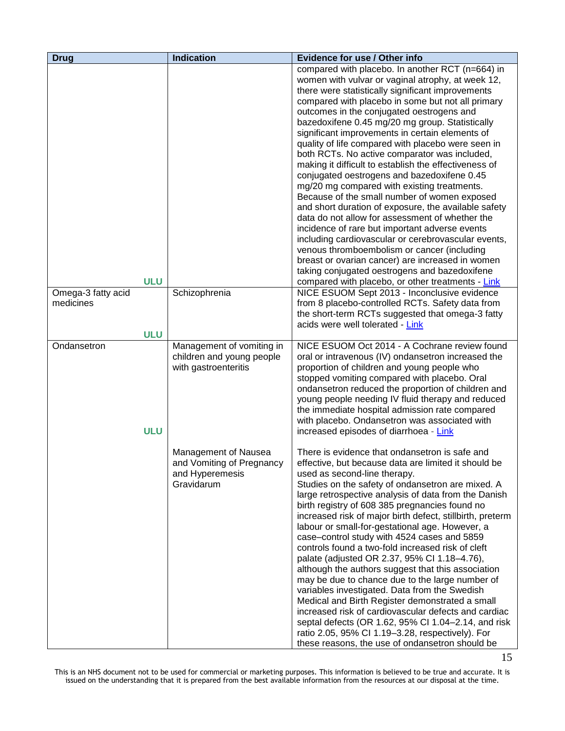| compared with placebo. In another RCT (n=664) in<br>women with vulvar or vaginal atrophy, at week 12,<br>there were statistically significant improvements<br>compared with placebo in some but not all primary<br>outcomes in the conjugated oestrogens and<br>bazedoxifene 0.45 mg/20 mg group. Statistically<br>significant improvements in certain elements of<br>quality of life compared with placebo were seen in<br>both RCTs. No active comparator was included,<br>making it difficult to establish the effectiveness of<br>conjugated oestrogens and bazedoxifene 0.45<br>mg/20 mg compared with existing treatments.<br>Because of the small number of women exposed<br>and short duration of exposure, the available safety<br>data do not allow for assessment of whether the<br>incidence of rare but important adverse events<br>including cardiovascular or cerebrovascular events,<br>venous thromboembolism or cancer (including<br>breast or ovarian cancer) are increased in women<br>taking conjugated oestrogens and bazedoxifene<br><b>ULU</b><br>compared with placebo, or other treatments - Link<br>Omega-3 fatty acid<br>Schizophrenia<br>NICE ESUOM Sept 2013 - Inconclusive evidence<br>medicines<br>from 8 placebo-controlled RCTs. Safety data from<br>the short-term RCTs suggested that omega-3 fatty<br>acids were well tolerated - Link<br><b>ULU</b><br>NICE ESUOM Oct 2014 - A Cochrane review found<br>Ondansetron<br>Management of vomiting in<br>children and young people<br>oral or intravenous (IV) ondansetron increased the<br>with gastroenteritis<br>proportion of children and young people who<br>stopped vomiting compared with placebo. Oral<br>ondansetron reduced the proportion of children and<br>young people needing IV fluid therapy and reduced<br>the immediate hospital admission rate compared<br>with placebo. Ondansetron was associated with<br><b>ULU</b><br>increased episodes of diarrhoea - Link<br>There is evidence that ondansetron is safe and<br>Management of Nausea<br>and Vomiting of Pregnancy<br>effective, but because data are limited it should be<br>and Hyperemesis<br>used as second-line therapy.<br>Gravidarum<br>Studies on the safety of ondansetron are mixed. A<br>large retrospective analysis of data from the Danish<br>birth registry of 608 385 pregnancies found no<br>increased risk of major birth defect, stillbirth, preterm<br>labour or small-for-gestational age. However, a<br>case-control study with 4524 cases and 5859<br>controls found a two-fold increased risk of cleft<br>palate (adjusted OR 2.37, 95% CI 1.18-4.76),<br>although the authors suggest that this association<br>may be due to chance due to the large number of<br>variables investigated. Data from the Swedish<br>Medical and Birth Register demonstrated a small<br>increased risk of cardiovascular defects and cardiac<br>septal defects (OR 1.62, 95% CI 1.04-2.14, and risk<br>ratio 2.05, 95% CI 1.19-3.28, respectively). For | <b>Drug</b> | <b>Indication</b> | Evidence for use / Other info |
|---------------------------------------------------------------------------------------------------------------------------------------------------------------------------------------------------------------------------------------------------------------------------------------------------------------------------------------------------------------------------------------------------------------------------------------------------------------------------------------------------------------------------------------------------------------------------------------------------------------------------------------------------------------------------------------------------------------------------------------------------------------------------------------------------------------------------------------------------------------------------------------------------------------------------------------------------------------------------------------------------------------------------------------------------------------------------------------------------------------------------------------------------------------------------------------------------------------------------------------------------------------------------------------------------------------------------------------------------------------------------------------------------------------------------------------------------------------------------------------------------------------------------------------------------------------------------------------------------------------------------------------------------------------------------------------------------------------------------------------------------------------------------------------------------------------------------------------------------------------------------------------------------------------------------------------------------------------------------------------------------------------------------------------------------------------------------------------------------------------------------------------------------------------------------------------------------------------------------------------------------------------------------------------------------------------------------------------------------------------------------------------------------------------------------------------------------------------------------------------------------------------------------------------------------------------------------------------------------------------------------------------------------------------------------------------------------------------------------------------------------------------------------------------------------------------------------------------------------------------------------------------------------------------------------------------------------------------------------------------------------------------------------|-------------|-------------------|-------------------------------|
|                                                                                                                                                                                                                                                                                                                                                                                                                                                                                                                                                                                                                                                                                                                                                                                                                                                                                                                                                                                                                                                                                                                                                                                                                                                                                                                                                                                                                                                                                                                                                                                                                                                                                                                                                                                                                                                                                                                                                                                                                                                                                                                                                                                                                                                                                                                                                                                                                                                                                                                                                                                                                                                                                                                                                                                                                                                                                                                                                                                                                           |             |                   |                               |
|                                                                                                                                                                                                                                                                                                                                                                                                                                                                                                                                                                                                                                                                                                                                                                                                                                                                                                                                                                                                                                                                                                                                                                                                                                                                                                                                                                                                                                                                                                                                                                                                                                                                                                                                                                                                                                                                                                                                                                                                                                                                                                                                                                                                                                                                                                                                                                                                                                                                                                                                                                                                                                                                                                                                                                                                                                                                                                                                                                                                                           |             |                   |                               |
|                                                                                                                                                                                                                                                                                                                                                                                                                                                                                                                                                                                                                                                                                                                                                                                                                                                                                                                                                                                                                                                                                                                                                                                                                                                                                                                                                                                                                                                                                                                                                                                                                                                                                                                                                                                                                                                                                                                                                                                                                                                                                                                                                                                                                                                                                                                                                                                                                                                                                                                                                                                                                                                                                                                                                                                                                                                                                                                                                                                                                           |             |                   |                               |
|                                                                                                                                                                                                                                                                                                                                                                                                                                                                                                                                                                                                                                                                                                                                                                                                                                                                                                                                                                                                                                                                                                                                                                                                                                                                                                                                                                                                                                                                                                                                                                                                                                                                                                                                                                                                                                                                                                                                                                                                                                                                                                                                                                                                                                                                                                                                                                                                                                                                                                                                                                                                                                                                                                                                                                                                                                                                                                                                                                                                                           |             |                   |                               |
|                                                                                                                                                                                                                                                                                                                                                                                                                                                                                                                                                                                                                                                                                                                                                                                                                                                                                                                                                                                                                                                                                                                                                                                                                                                                                                                                                                                                                                                                                                                                                                                                                                                                                                                                                                                                                                                                                                                                                                                                                                                                                                                                                                                                                                                                                                                                                                                                                                                                                                                                                                                                                                                                                                                                                                                                                                                                                                                                                                                                                           |             |                   |                               |
|                                                                                                                                                                                                                                                                                                                                                                                                                                                                                                                                                                                                                                                                                                                                                                                                                                                                                                                                                                                                                                                                                                                                                                                                                                                                                                                                                                                                                                                                                                                                                                                                                                                                                                                                                                                                                                                                                                                                                                                                                                                                                                                                                                                                                                                                                                                                                                                                                                                                                                                                                                                                                                                                                                                                                                                                                                                                                                                                                                                                                           |             |                   |                               |
|                                                                                                                                                                                                                                                                                                                                                                                                                                                                                                                                                                                                                                                                                                                                                                                                                                                                                                                                                                                                                                                                                                                                                                                                                                                                                                                                                                                                                                                                                                                                                                                                                                                                                                                                                                                                                                                                                                                                                                                                                                                                                                                                                                                                                                                                                                                                                                                                                                                                                                                                                                                                                                                                                                                                                                                                                                                                                                                                                                                                                           |             |                   |                               |
|                                                                                                                                                                                                                                                                                                                                                                                                                                                                                                                                                                                                                                                                                                                                                                                                                                                                                                                                                                                                                                                                                                                                                                                                                                                                                                                                                                                                                                                                                                                                                                                                                                                                                                                                                                                                                                                                                                                                                                                                                                                                                                                                                                                                                                                                                                                                                                                                                                                                                                                                                                                                                                                                                                                                                                                                                                                                                                                                                                                                                           |             |                   |                               |
|                                                                                                                                                                                                                                                                                                                                                                                                                                                                                                                                                                                                                                                                                                                                                                                                                                                                                                                                                                                                                                                                                                                                                                                                                                                                                                                                                                                                                                                                                                                                                                                                                                                                                                                                                                                                                                                                                                                                                                                                                                                                                                                                                                                                                                                                                                                                                                                                                                                                                                                                                                                                                                                                                                                                                                                                                                                                                                                                                                                                                           |             |                   |                               |
|                                                                                                                                                                                                                                                                                                                                                                                                                                                                                                                                                                                                                                                                                                                                                                                                                                                                                                                                                                                                                                                                                                                                                                                                                                                                                                                                                                                                                                                                                                                                                                                                                                                                                                                                                                                                                                                                                                                                                                                                                                                                                                                                                                                                                                                                                                                                                                                                                                                                                                                                                                                                                                                                                                                                                                                                                                                                                                                                                                                                                           |             |                   |                               |
|                                                                                                                                                                                                                                                                                                                                                                                                                                                                                                                                                                                                                                                                                                                                                                                                                                                                                                                                                                                                                                                                                                                                                                                                                                                                                                                                                                                                                                                                                                                                                                                                                                                                                                                                                                                                                                                                                                                                                                                                                                                                                                                                                                                                                                                                                                                                                                                                                                                                                                                                                                                                                                                                                                                                                                                                                                                                                                                                                                                                                           |             |                   |                               |
|                                                                                                                                                                                                                                                                                                                                                                                                                                                                                                                                                                                                                                                                                                                                                                                                                                                                                                                                                                                                                                                                                                                                                                                                                                                                                                                                                                                                                                                                                                                                                                                                                                                                                                                                                                                                                                                                                                                                                                                                                                                                                                                                                                                                                                                                                                                                                                                                                                                                                                                                                                                                                                                                                                                                                                                                                                                                                                                                                                                                                           |             |                   |                               |
|                                                                                                                                                                                                                                                                                                                                                                                                                                                                                                                                                                                                                                                                                                                                                                                                                                                                                                                                                                                                                                                                                                                                                                                                                                                                                                                                                                                                                                                                                                                                                                                                                                                                                                                                                                                                                                                                                                                                                                                                                                                                                                                                                                                                                                                                                                                                                                                                                                                                                                                                                                                                                                                                                                                                                                                                                                                                                                                                                                                                                           |             |                   |                               |
|                                                                                                                                                                                                                                                                                                                                                                                                                                                                                                                                                                                                                                                                                                                                                                                                                                                                                                                                                                                                                                                                                                                                                                                                                                                                                                                                                                                                                                                                                                                                                                                                                                                                                                                                                                                                                                                                                                                                                                                                                                                                                                                                                                                                                                                                                                                                                                                                                                                                                                                                                                                                                                                                                                                                                                                                                                                                                                                                                                                                                           |             |                   |                               |
|                                                                                                                                                                                                                                                                                                                                                                                                                                                                                                                                                                                                                                                                                                                                                                                                                                                                                                                                                                                                                                                                                                                                                                                                                                                                                                                                                                                                                                                                                                                                                                                                                                                                                                                                                                                                                                                                                                                                                                                                                                                                                                                                                                                                                                                                                                                                                                                                                                                                                                                                                                                                                                                                                                                                                                                                                                                                                                                                                                                                                           |             |                   |                               |
|                                                                                                                                                                                                                                                                                                                                                                                                                                                                                                                                                                                                                                                                                                                                                                                                                                                                                                                                                                                                                                                                                                                                                                                                                                                                                                                                                                                                                                                                                                                                                                                                                                                                                                                                                                                                                                                                                                                                                                                                                                                                                                                                                                                                                                                                                                                                                                                                                                                                                                                                                                                                                                                                                                                                                                                                                                                                                                                                                                                                                           |             |                   |                               |
|                                                                                                                                                                                                                                                                                                                                                                                                                                                                                                                                                                                                                                                                                                                                                                                                                                                                                                                                                                                                                                                                                                                                                                                                                                                                                                                                                                                                                                                                                                                                                                                                                                                                                                                                                                                                                                                                                                                                                                                                                                                                                                                                                                                                                                                                                                                                                                                                                                                                                                                                                                                                                                                                                                                                                                                                                                                                                                                                                                                                                           |             |                   |                               |
|                                                                                                                                                                                                                                                                                                                                                                                                                                                                                                                                                                                                                                                                                                                                                                                                                                                                                                                                                                                                                                                                                                                                                                                                                                                                                                                                                                                                                                                                                                                                                                                                                                                                                                                                                                                                                                                                                                                                                                                                                                                                                                                                                                                                                                                                                                                                                                                                                                                                                                                                                                                                                                                                                                                                                                                                                                                                                                                                                                                                                           |             |                   |                               |
|                                                                                                                                                                                                                                                                                                                                                                                                                                                                                                                                                                                                                                                                                                                                                                                                                                                                                                                                                                                                                                                                                                                                                                                                                                                                                                                                                                                                                                                                                                                                                                                                                                                                                                                                                                                                                                                                                                                                                                                                                                                                                                                                                                                                                                                                                                                                                                                                                                                                                                                                                                                                                                                                                                                                                                                                                                                                                                                                                                                                                           |             |                   |                               |
|                                                                                                                                                                                                                                                                                                                                                                                                                                                                                                                                                                                                                                                                                                                                                                                                                                                                                                                                                                                                                                                                                                                                                                                                                                                                                                                                                                                                                                                                                                                                                                                                                                                                                                                                                                                                                                                                                                                                                                                                                                                                                                                                                                                                                                                                                                                                                                                                                                                                                                                                                                                                                                                                                                                                                                                                                                                                                                                                                                                                                           |             |                   |                               |
|                                                                                                                                                                                                                                                                                                                                                                                                                                                                                                                                                                                                                                                                                                                                                                                                                                                                                                                                                                                                                                                                                                                                                                                                                                                                                                                                                                                                                                                                                                                                                                                                                                                                                                                                                                                                                                                                                                                                                                                                                                                                                                                                                                                                                                                                                                                                                                                                                                                                                                                                                                                                                                                                                                                                                                                                                                                                                                                                                                                                                           |             |                   |                               |
|                                                                                                                                                                                                                                                                                                                                                                                                                                                                                                                                                                                                                                                                                                                                                                                                                                                                                                                                                                                                                                                                                                                                                                                                                                                                                                                                                                                                                                                                                                                                                                                                                                                                                                                                                                                                                                                                                                                                                                                                                                                                                                                                                                                                                                                                                                                                                                                                                                                                                                                                                                                                                                                                                                                                                                                                                                                                                                                                                                                                                           |             |                   |                               |
|                                                                                                                                                                                                                                                                                                                                                                                                                                                                                                                                                                                                                                                                                                                                                                                                                                                                                                                                                                                                                                                                                                                                                                                                                                                                                                                                                                                                                                                                                                                                                                                                                                                                                                                                                                                                                                                                                                                                                                                                                                                                                                                                                                                                                                                                                                                                                                                                                                                                                                                                                                                                                                                                                                                                                                                                                                                                                                                                                                                                                           |             |                   |                               |
|                                                                                                                                                                                                                                                                                                                                                                                                                                                                                                                                                                                                                                                                                                                                                                                                                                                                                                                                                                                                                                                                                                                                                                                                                                                                                                                                                                                                                                                                                                                                                                                                                                                                                                                                                                                                                                                                                                                                                                                                                                                                                                                                                                                                                                                                                                                                                                                                                                                                                                                                                                                                                                                                                                                                                                                                                                                                                                                                                                                                                           |             |                   |                               |
|                                                                                                                                                                                                                                                                                                                                                                                                                                                                                                                                                                                                                                                                                                                                                                                                                                                                                                                                                                                                                                                                                                                                                                                                                                                                                                                                                                                                                                                                                                                                                                                                                                                                                                                                                                                                                                                                                                                                                                                                                                                                                                                                                                                                                                                                                                                                                                                                                                                                                                                                                                                                                                                                                                                                                                                                                                                                                                                                                                                                                           |             |                   |                               |
|                                                                                                                                                                                                                                                                                                                                                                                                                                                                                                                                                                                                                                                                                                                                                                                                                                                                                                                                                                                                                                                                                                                                                                                                                                                                                                                                                                                                                                                                                                                                                                                                                                                                                                                                                                                                                                                                                                                                                                                                                                                                                                                                                                                                                                                                                                                                                                                                                                                                                                                                                                                                                                                                                                                                                                                                                                                                                                                                                                                                                           |             |                   |                               |
|                                                                                                                                                                                                                                                                                                                                                                                                                                                                                                                                                                                                                                                                                                                                                                                                                                                                                                                                                                                                                                                                                                                                                                                                                                                                                                                                                                                                                                                                                                                                                                                                                                                                                                                                                                                                                                                                                                                                                                                                                                                                                                                                                                                                                                                                                                                                                                                                                                                                                                                                                                                                                                                                                                                                                                                                                                                                                                                                                                                                                           |             |                   |                               |
|                                                                                                                                                                                                                                                                                                                                                                                                                                                                                                                                                                                                                                                                                                                                                                                                                                                                                                                                                                                                                                                                                                                                                                                                                                                                                                                                                                                                                                                                                                                                                                                                                                                                                                                                                                                                                                                                                                                                                                                                                                                                                                                                                                                                                                                                                                                                                                                                                                                                                                                                                                                                                                                                                                                                                                                                                                                                                                                                                                                                                           |             |                   |                               |
|                                                                                                                                                                                                                                                                                                                                                                                                                                                                                                                                                                                                                                                                                                                                                                                                                                                                                                                                                                                                                                                                                                                                                                                                                                                                                                                                                                                                                                                                                                                                                                                                                                                                                                                                                                                                                                                                                                                                                                                                                                                                                                                                                                                                                                                                                                                                                                                                                                                                                                                                                                                                                                                                                                                                                                                                                                                                                                                                                                                                                           |             |                   |                               |
|                                                                                                                                                                                                                                                                                                                                                                                                                                                                                                                                                                                                                                                                                                                                                                                                                                                                                                                                                                                                                                                                                                                                                                                                                                                                                                                                                                                                                                                                                                                                                                                                                                                                                                                                                                                                                                                                                                                                                                                                                                                                                                                                                                                                                                                                                                                                                                                                                                                                                                                                                                                                                                                                                                                                                                                                                                                                                                                                                                                                                           |             |                   |                               |
|                                                                                                                                                                                                                                                                                                                                                                                                                                                                                                                                                                                                                                                                                                                                                                                                                                                                                                                                                                                                                                                                                                                                                                                                                                                                                                                                                                                                                                                                                                                                                                                                                                                                                                                                                                                                                                                                                                                                                                                                                                                                                                                                                                                                                                                                                                                                                                                                                                                                                                                                                                                                                                                                                                                                                                                                                                                                                                                                                                                                                           |             |                   |                               |
|                                                                                                                                                                                                                                                                                                                                                                                                                                                                                                                                                                                                                                                                                                                                                                                                                                                                                                                                                                                                                                                                                                                                                                                                                                                                                                                                                                                                                                                                                                                                                                                                                                                                                                                                                                                                                                                                                                                                                                                                                                                                                                                                                                                                                                                                                                                                                                                                                                                                                                                                                                                                                                                                                                                                                                                                                                                                                                                                                                                                                           |             |                   |                               |
|                                                                                                                                                                                                                                                                                                                                                                                                                                                                                                                                                                                                                                                                                                                                                                                                                                                                                                                                                                                                                                                                                                                                                                                                                                                                                                                                                                                                                                                                                                                                                                                                                                                                                                                                                                                                                                                                                                                                                                                                                                                                                                                                                                                                                                                                                                                                                                                                                                                                                                                                                                                                                                                                                                                                                                                                                                                                                                                                                                                                                           |             |                   |                               |
|                                                                                                                                                                                                                                                                                                                                                                                                                                                                                                                                                                                                                                                                                                                                                                                                                                                                                                                                                                                                                                                                                                                                                                                                                                                                                                                                                                                                                                                                                                                                                                                                                                                                                                                                                                                                                                                                                                                                                                                                                                                                                                                                                                                                                                                                                                                                                                                                                                                                                                                                                                                                                                                                                                                                                                                                                                                                                                                                                                                                                           |             |                   |                               |
|                                                                                                                                                                                                                                                                                                                                                                                                                                                                                                                                                                                                                                                                                                                                                                                                                                                                                                                                                                                                                                                                                                                                                                                                                                                                                                                                                                                                                                                                                                                                                                                                                                                                                                                                                                                                                                                                                                                                                                                                                                                                                                                                                                                                                                                                                                                                                                                                                                                                                                                                                                                                                                                                                                                                                                                                                                                                                                                                                                                                                           |             |                   |                               |
|                                                                                                                                                                                                                                                                                                                                                                                                                                                                                                                                                                                                                                                                                                                                                                                                                                                                                                                                                                                                                                                                                                                                                                                                                                                                                                                                                                                                                                                                                                                                                                                                                                                                                                                                                                                                                                                                                                                                                                                                                                                                                                                                                                                                                                                                                                                                                                                                                                                                                                                                                                                                                                                                                                                                                                                                                                                                                                                                                                                                                           |             |                   |                               |
|                                                                                                                                                                                                                                                                                                                                                                                                                                                                                                                                                                                                                                                                                                                                                                                                                                                                                                                                                                                                                                                                                                                                                                                                                                                                                                                                                                                                                                                                                                                                                                                                                                                                                                                                                                                                                                                                                                                                                                                                                                                                                                                                                                                                                                                                                                                                                                                                                                                                                                                                                                                                                                                                                                                                                                                                                                                                                                                                                                                                                           |             |                   |                               |
|                                                                                                                                                                                                                                                                                                                                                                                                                                                                                                                                                                                                                                                                                                                                                                                                                                                                                                                                                                                                                                                                                                                                                                                                                                                                                                                                                                                                                                                                                                                                                                                                                                                                                                                                                                                                                                                                                                                                                                                                                                                                                                                                                                                                                                                                                                                                                                                                                                                                                                                                                                                                                                                                                                                                                                                                                                                                                                                                                                                                                           |             |                   |                               |
|                                                                                                                                                                                                                                                                                                                                                                                                                                                                                                                                                                                                                                                                                                                                                                                                                                                                                                                                                                                                                                                                                                                                                                                                                                                                                                                                                                                                                                                                                                                                                                                                                                                                                                                                                                                                                                                                                                                                                                                                                                                                                                                                                                                                                                                                                                                                                                                                                                                                                                                                                                                                                                                                                                                                                                                                                                                                                                                                                                                                                           |             |                   |                               |
|                                                                                                                                                                                                                                                                                                                                                                                                                                                                                                                                                                                                                                                                                                                                                                                                                                                                                                                                                                                                                                                                                                                                                                                                                                                                                                                                                                                                                                                                                                                                                                                                                                                                                                                                                                                                                                                                                                                                                                                                                                                                                                                                                                                                                                                                                                                                                                                                                                                                                                                                                                                                                                                                                                                                                                                                                                                                                                                                                                                                                           |             |                   |                               |
|                                                                                                                                                                                                                                                                                                                                                                                                                                                                                                                                                                                                                                                                                                                                                                                                                                                                                                                                                                                                                                                                                                                                                                                                                                                                                                                                                                                                                                                                                                                                                                                                                                                                                                                                                                                                                                                                                                                                                                                                                                                                                                                                                                                                                                                                                                                                                                                                                                                                                                                                                                                                                                                                                                                                                                                                                                                                                                                                                                                                                           |             |                   |                               |
|                                                                                                                                                                                                                                                                                                                                                                                                                                                                                                                                                                                                                                                                                                                                                                                                                                                                                                                                                                                                                                                                                                                                                                                                                                                                                                                                                                                                                                                                                                                                                                                                                                                                                                                                                                                                                                                                                                                                                                                                                                                                                                                                                                                                                                                                                                                                                                                                                                                                                                                                                                                                                                                                                                                                                                                                                                                                                                                                                                                                                           |             |                   |                               |
|                                                                                                                                                                                                                                                                                                                                                                                                                                                                                                                                                                                                                                                                                                                                                                                                                                                                                                                                                                                                                                                                                                                                                                                                                                                                                                                                                                                                                                                                                                                                                                                                                                                                                                                                                                                                                                                                                                                                                                                                                                                                                                                                                                                                                                                                                                                                                                                                                                                                                                                                                                                                                                                                                                                                                                                                                                                                                                                                                                                                                           |             |                   |                               |
|                                                                                                                                                                                                                                                                                                                                                                                                                                                                                                                                                                                                                                                                                                                                                                                                                                                                                                                                                                                                                                                                                                                                                                                                                                                                                                                                                                                                                                                                                                                                                                                                                                                                                                                                                                                                                                                                                                                                                                                                                                                                                                                                                                                                                                                                                                                                                                                                                                                                                                                                                                                                                                                                                                                                                                                                                                                                                                                                                                                                                           |             |                   |                               |
|                                                                                                                                                                                                                                                                                                                                                                                                                                                                                                                                                                                                                                                                                                                                                                                                                                                                                                                                                                                                                                                                                                                                                                                                                                                                                                                                                                                                                                                                                                                                                                                                                                                                                                                                                                                                                                                                                                                                                                                                                                                                                                                                                                                                                                                                                                                                                                                                                                                                                                                                                                                                                                                                                                                                                                                                                                                                                                                                                                                                                           |             |                   |                               |
|                                                                                                                                                                                                                                                                                                                                                                                                                                                                                                                                                                                                                                                                                                                                                                                                                                                                                                                                                                                                                                                                                                                                                                                                                                                                                                                                                                                                                                                                                                                                                                                                                                                                                                                                                                                                                                                                                                                                                                                                                                                                                                                                                                                                                                                                                                                                                                                                                                                                                                                                                                                                                                                                                                                                                                                                                                                                                                                                                                                                                           |             |                   |                               |
|                                                                                                                                                                                                                                                                                                                                                                                                                                                                                                                                                                                                                                                                                                                                                                                                                                                                                                                                                                                                                                                                                                                                                                                                                                                                                                                                                                                                                                                                                                                                                                                                                                                                                                                                                                                                                                                                                                                                                                                                                                                                                                                                                                                                                                                                                                                                                                                                                                                                                                                                                                                                                                                                                                                                                                                                                                                                                                                                                                                                                           |             |                   |                               |
|                                                                                                                                                                                                                                                                                                                                                                                                                                                                                                                                                                                                                                                                                                                                                                                                                                                                                                                                                                                                                                                                                                                                                                                                                                                                                                                                                                                                                                                                                                                                                                                                                                                                                                                                                                                                                                                                                                                                                                                                                                                                                                                                                                                                                                                                                                                                                                                                                                                                                                                                                                                                                                                                                                                                                                                                                                                                                                                                                                                                                           |             |                   |                               |
|                                                                                                                                                                                                                                                                                                                                                                                                                                                                                                                                                                                                                                                                                                                                                                                                                                                                                                                                                                                                                                                                                                                                                                                                                                                                                                                                                                                                                                                                                                                                                                                                                                                                                                                                                                                                                                                                                                                                                                                                                                                                                                                                                                                                                                                                                                                                                                                                                                                                                                                                                                                                                                                                                                                                                                                                                                                                                                                                                                                                                           |             |                   |                               |
|                                                                                                                                                                                                                                                                                                                                                                                                                                                                                                                                                                                                                                                                                                                                                                                                                                                                                                                                                                                                                                                                                                                                                                                                                                                                                                                                                                                                                                                                                                                                                                                                                                                                                                                                                                                                                                                                                                                                                                                                                                                                                                                                                                                                                                                                                                                                                                                                                                                                                                                                                                                                                                                                                                                                                                                                                                                                                                                                                                                                                           |             |                   |                               |
|                                                                                                                                                                                                                                                                                                                                                                                                                                                                                                                                                                                                                                                                                                                                                                                                                                                                                                                                                                                                                                                                                                                                                                                                                                                                                                                                                                                                                                                                                                                                                                                                                                                                                                                                                                                                                                                                                                                                                                                                                                                                                                                                                                                                                                                                                                                                                                                                                                                                                                                                                                                                                                                                                                                                                                                                                                                                                                                                                                                                                           |             |                   |                               |
| these reasons, the use of ondansetron should be                                                                                                                                                                                                                                                                                                                                                                                                                                                                                                                                                                                                                                                                                                                                                                                                                                                                                                                                                                                                                                                                                                                                                                                                                                                                                                                                                                                                                                                                                                                                                                                                                                                                                                                                                                                                                                                                                                                                                                                                                                                                                                                                                                                                                                                                                                                                                                                                                                                                                                                                                                                                                                                                                                                                                                                                                                                                                                                                                                           |             |                   |                               |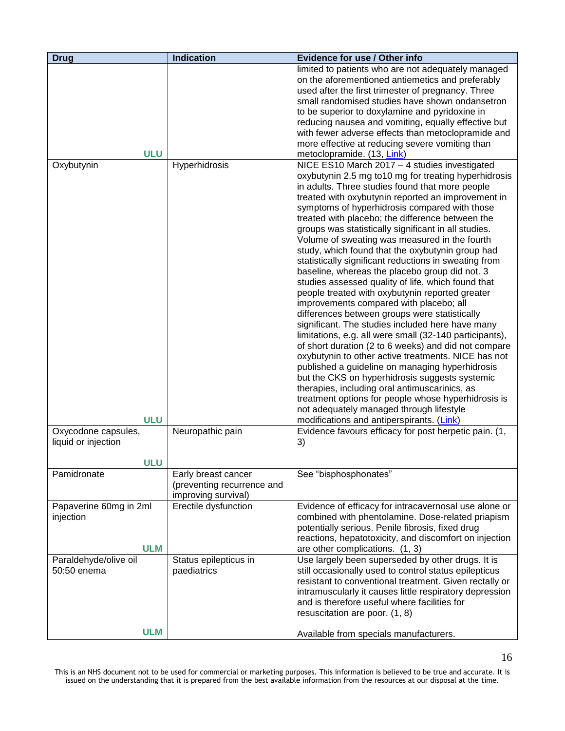| <b>Drug</b>                                              | <b>Indication</b>                                                        | Evidence for use / Other info                                                                                                                                                                                                                                                                                                                                                                                                                                                                                                                                                                                                                                                                                                                                                                                                                                                                                                                                                                                                                                                                                                                                                                                                                                                           |
|----------------------------------------------------------|--------------------------------------------------------------------------|-----------------------------------------------------------------------------------------------------------------------------------------------------------------------------------------------------------------------------------------------------------------------------------------------------------------------------------------------------------------------------------------------------------------------------------------------------------------------------------------------------------------------------------------------------------------------------------------------------------------------------------------------------------------------------------------------------------------------------------------------------------------------------------------------------------------------------------------------------------------------------------------------------------------------------------------------------------------------------------------------------------------------------------------------------------------------------------------------------------------------------------------------------------------------------------------------------------------------------------------------------------------------------------------|
| <b>ULU</b>                                               |                                                                          | limited to patients who are not adequately managed<br>on the aforementioned antiemetics and preferably<br>used after the first trimester of pregnancy. Three<br>small randomised studies have shown ondansetron<br>to be superior to doxylamine and pyridoxine in<br>reducing nausea and vomiting, equally effective but<br>with fewer adverse effects than metoclopramide and<br>more effective at reducing severe vomiting than<br>metoclopramide. (13, Link)                                                                                                                                                                                                                                                                                                                                                                                                                                                                                                                                                                                                                                                                                                                                                                                                                         |
| Oxybutynin                                               | Hyperhidrosis                                                            | NICE ES10 March 2017 - 4 studies investigated<br>oxybutynin 2.5 mg to10 mg for treating hyperhidrosis<br>in adults. Three studies found that more people<br>treated with oxybutynin reported an improvement in<br>symptoms of hyperhidrosis compared with those<br>treated with placebo; the difference between the<br>groups was statistically significant in all studies.<br>Volume of sweating was measured in the fourth<br>study, which found that the oxybutynin group had<br>statistically significant reductions in sweating from<br>baseline, whereas the placebo group did not. 3<br>studies assessed quality of life, which found that<br>people treated with oxybutynin reported greater<br>improvements compared with placebo; all<br>differences between groups were statistically<br>significant. The studies included here have many<br>limitations, e.g. all were small (32-140 participants),<br>of short duration (2 to 6 weeks) and did not compare<br>oxybutynin to other active treatments. NICE has not<br>published a guideline on managing hyperhidrosis<br>but the CKS on hyperhidrosis suggests systemic<br>therapies, including oral antimuscarinics, as<br>treatment options for people whose hyperhidrosis is<br>not adequately managed through lifestyle |
| <b>ULU</b><br>Oxycodone capsules,<br>liquid or injection | Neuropathic pain                                                         | modifications and antiperspirants. (Link)<br>Evidence favours efficacy for post herpetic pain. (1,<br>3)                                                                                                                                                                                                                                                                                                                                                                                                                                                                                                                                                                                                                                                                                                                                                                                                                                                                                                                                                                                                                                                                                                                                                                                |
| <b>ULU</b>                                               |                                                                          |                                                                                                                                                                                                                                                                                                                                                                                                                                                                                                                                                                                                                                                                                                                                                                                                                                                                                                                                                                                                                                                                                                                                                                                                                                                                                         |
| Pamidronate                                              | Early breast cancer<br>(preventing recurrence and<br>improving survival) | See "bisphosphonates"                                                                                                                                                                                                                                                                                                                                                                                                                                                                                                                                                                                                                                                                                                                                                                                                                                                                                                                                                                                                                                                                                                                                                                                                                                                                   |
| Papaverine 60mg in 2ml<br>injection<br><b>ULM</b>        | Erectile dysfunction                                                     | Evidence of efficacy for intracavernosal use alone or<br>combined with phentolamine. Dose-related priapism<br>potentially serious. Penile fibrosis, fixed drug<br>reactions, hepatotoxicity, and discomfort on injection<br>are other complications. (1, 3)                                                                                                                                                                                                                                                                                                                                                                                                                                                                                                                                                                                                                                                                                                                                                                                                                                                                                                                                                                                                                             |
| Paraldehyde/olive oil<br>50:50 enema<br><b>ULM</b>       | Status epilepticus in<br>paediatrics                                     | Use largely been superseded by other drugs. It is<br>still occasionally used to control status epilepticus<br>resistant to conventional treatment. Given rectally or<br>intramuscularly it causes little respiratory depression<br>and is therefore useful where facilities for<br>resuscitation are poor. (1, 8)<br>Available from specials manufacturers.                                                                                                                                                                                                                                                                                                                                                                                                                                                                                                                                                                                                                                                                                                                                                                                                                                                                                                                             |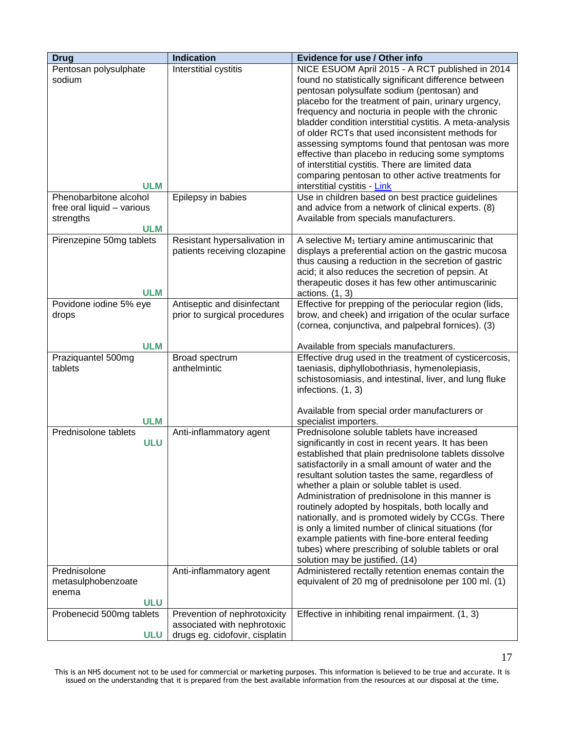| <b>Drug</b>                | <b>Indication</b>              | Evidence for use / Other info                                                     |
|----------------------------|--------------------------------|-----------------------------------------------------------------------------------|
| Pentosan polysulphate      | Interstitial cystitis          | NICE ESUOM April 2015 - A RCT published in 2014                                   |
| sodium                     |                                | found no statistically significant difference between                             |
|                            |                                | pentosan polysulfate sodium (pentosan) and                                        |
|                            |                                | placebo for the treatment of pain, urinary urgency,                               |
|                            |                                | frequency and nocturia in people with the chronic                                 |
|                            |                                | bladder condition interstitial cystitis. A meta-analysis                          |
|                            |                                | of older RCTs that used inconsistent methods for                                  |
|                            |                                | assessing symptoms found that pentosan was more                                   |
|                            |                                | effective than placebo in reducing some symptoms                                  |
|                            |                                | of interstitial cystitis. There are limited data                                  |
| <b>ULM</b>                 |                                | comparing pentosan to other active treatments for<br>interstitial cystitis - Link |
| Phenobarbitone alcohol     | Epilepsy in babies             | Use in children based on best practice guidelines                                 |
| free oral liquid - various |                                | and advice from a network of clinical experts. (8)                                |
| strengths                  |                                | Available from specials manufacturers.                                            |
| <b>ULM</b>                 |                                |                                                                                   |
| Pirenzepine 50mg tablets   | Resistant hypersalivation in   | A selective $M_1$ tertiary amine antimuscarinic that                              |
|                            | patients receiving clozapine   | displays a preferential action on the gastric mucosa                              |
|                            |                                | thus causing a reduction in the secretion of gastric                              |
|                            |                                | acid; it also reduces the secretion of pepsin. At                                 |
|                            |                                | therapeutic doses it has few other antimuscarinic                                 |
| <b>ULM</b>                 |                                | actions. (1, 3)                                                                   |
| Povidone iodine 5% eye     | Antiseptic and disinfectant    | Effective for prepping of the periocular region (lids,                            |
| drops                      | prior to surgical procedures   | brow, and cheek) and irrigation of the ocular surface                             |
|                            |                                | (cornea, conjunctiva, and palpebral fornices). (3)                                |
| <b>ULM</b>                 |                                | Available from specials manufacturers.                                            |
| Praziquantel 500mg         | Broad spectrum                 | Effective drug used in the treatment of cysticercosis,                            |
| tablets                    | anthelmintic                   | taeniasis, diphyllobothriasis, hymenolepiasis,                                    |
|                            |                                | schistosomiasis, and intestinal, liver, and lung fluke                            |
|                            |                                | infections. (1, 3)                                                                |
|                            |                                |                                                                                   |
| <b>ULM</b>                 |                                | Available from special order manufacturers or                                     |
| Prednisolone tablets       | Anti-inflammatory agent        | specialist importers.<br>Prednisolone soluble tablets have increased              |
| <b>ULU</b>                 |                                | significantly in cost in recent years. It has been                                |
|                            |                                | established that plain prednisolone tablets dissolve                              |
|                            |                                | satisfactorily in a small amount of water and the                                 |
|                            |                                | resultant solution tastes the same, regardless of                                 |
|                            |                                | whether a plain or soluble tablet is used.                                        |
|                            |                                | Administration of prednisolone in this manner is                                  |
|                            |                                | routinely adopted by hospitals, both locally and                                  |
|                            |                                | nationally, and is promoted widely by CCGs. There                                 |
|                            |                                | is only a limited number of clinical situations (for                              |
|                            |                                | example patients with fine-bore enteral feeding                                   |
|                            |                                | tubes) where prescribing of soluble tablets or oral                               |
|                            |                                | solution may be justified. (14)                                                   |
| Prednisolone               | Anti-inflammatory agent        | Administered rectally retention enemas contain the                                |
| metasulphobenzoate         |                                | equivalent of 20 mg of prednisolone per 100 ml. (1)                               |
| enema<br><b>ULU</b>        |                                |                                                                                   |
| Probenecid 500mg tablets   | Prevention of nephrotoxicity   | Effective in inhibiting renal impairment. (1, 3)                                  |
|                            | associated with nephrotoxic    |                                                                                   |
| <b>ULU</b>                 | drugs eg. cidofovir, cisplatin |                                                                                   |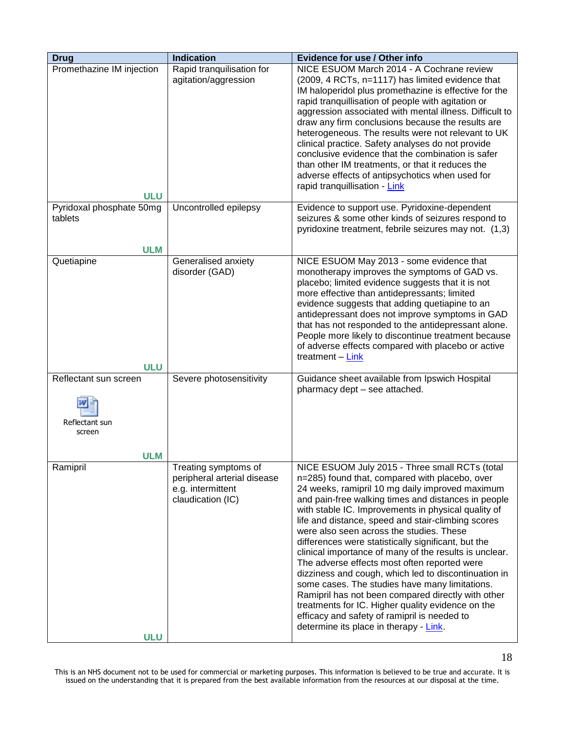| <b>Drug</b>                                                     | <b>Indication</b>                                                                             | Evidence for use / Other info                                                                                                                                                                                                                                                                                                                                                                                                                                                                                                                                                                                                                                                                                                                                                                                                                       |
|-----------------------------------------------------------------|-----------------------------------------------------------------------------------------------|-----------------------------------------------------------------------------------------------------------------------------------------------------------------------------------------------------------------------------------------------------------------------------------------------------------------------------------------------------------------------------------------------------------------------------------------------------------------------------------------------------------------------------------------------------------------------------------------------------------------------------------------------------------------------------------------------------------------------------------------------------------------------------------------------------------------------------------------------------|
| Promethazine IM injection<br><b>ULU</b>                         | Rapid tranquilisation for<br>agitation/aggression                                             | NICE ESUOM March 2014 - A Cochrane review<br>(2009, 4 RCTs, n=1117) has limited evidence that<br>IM haloperidol plus promethazine is effective for the<br>rapid tranquillisation of people with agitation or<br>aggression associated with mental illness. Difficult to<br>draw any firm conclusions because the results are<br>heterogeneous. The results were not relevant to UK<br>clinical practice. Safety analyses do not provide<br>conclusive evidence that the combination is safer<br>than other IM treatments, or that it reduces the<br>adverse effects of antipsychotics when used for<br>rapid tranquillisation - Link                                                                                                                                                                                                                |
| Pyridoxal phosphate 50mg<br>tablets<br><b>ULM</b>               | Uncontrolled epilepsy                                                                         | Evidence to support use. Pyridoxine-dependent<br>seizures & some other kinds of seizures respond to<br>pyridoxine treatment, febrile seizures may not. (1,3)                                                                                                                                                                                                                                                                                                                                                                                                                                                                                                                                                                                                                                                                                        |
| Quetiapine<br><b>ULU</b>                                        | Generalised anxiety<br>disorder (GAD)                                                         | NICE ESUOM May 2013 - some evidence that<br>monotherapy improves the symptoms of GAD vs.<br>placebo; limited evidence suggests that it is not<br>more effective than antidepressants; limited<br>evidence suggests that adding quetiapine to an<br>antidepressant does not improve symptoms in GAD<br>that has not responded to the antidepressant alone.<br>People more likely to discontinue treatment because<br>of adverse effects compared with placebo or active<br>treatment - Link                                                                                                                                                                                                                                                                                                                                                          |
| Reflectant sun screen<br>Reflectant sun<br>screen<br><b>ULM</b> | Severe photosensitivity                                                                       | Guidance sheet available from Ipswich Hospital<br>pharmacy dept - see attached.                                                                                                                                                                                                                                                                                                                                                                                                                                                                                                                                                                                                                                                                                                                                                                     |
| Ramipril<br><b>ULU</b>                                          | Treating symptoms of<br>peripheral arterial disease<br>e.g. intermittent<br>claudication (IC) | NICE ESUOM July 2015 - Three small RCTs (total<br>n=285) found that, compared with placebo, over<br>24 weeks, ramipril 10 mg daily improved maximum<br>and pain-free walking times and distances in people<br>with stable IC. Improvements in physical quality of<br>life and distance, speed and stair-climbing scores<br>were also seen across the studies. These<br>differences were statistically significant, but the<br>clinical importance of many of the results is unclear.<br>The adverse effects most often reported were<br>dizziness and cough, which led to discontinuation in<br>some cases. The studies have many limitations.<br>Ramipril has not been compared directly with other<br>treatments for IC. Higher quality evidence on the<br>efficacy and safety of ramipril is needed to<br>determine its place in therapy - Link. |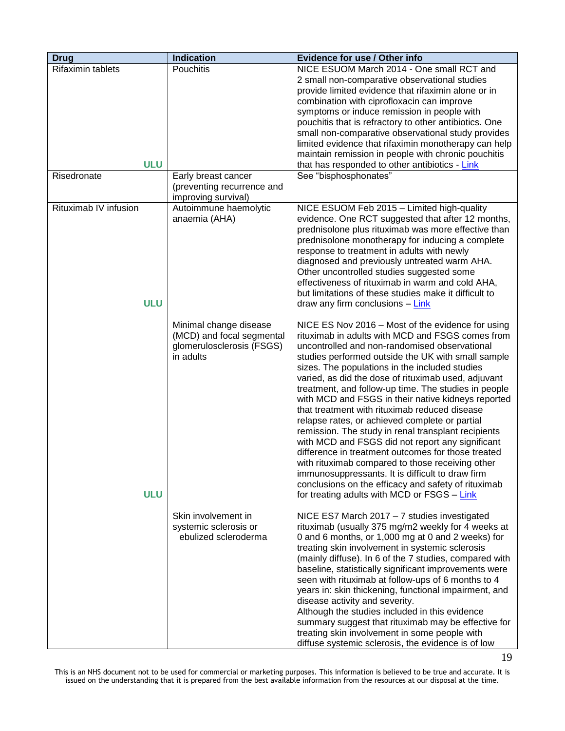| <b>Drug</b>           | <b>Indication</b>                             | <b>Evidence for use / Other info</b>                                                                        |
|-----------------------|-----------------------------------------------|-------------------------------------------------------------------------------------------------------------|
| Rifaximin tablets     | <b>Pouchitis</b>                              | NICE ESUOM March 2014 - One small RCT and                                                                   |
|                       |                                               | 2 small non-comparative observational studies                                                               |
|                       |                                               | provide limited evidence that rifaximin alone or in                                                         |
|                       |                                               | combination with ciprofloxacin can improve                                                                  |
|                       |                                               | symptoms or induce remission in people with                                                                 |
|                       |                                               | pouchitis that is refractory to other antibiotics. One                                                      |
|                       |                                               | small non-comparative observational study provides                                                          |
|                       |                                               | limited evidence that rifaximin monotherapy can help                                                        |
|                       |                                               | maintain remission in people with chronic pouchitis                                                         |
| <b>ULU</b>            |                                               | that has responded to other antibiotics - Link                                                              |
| Risedronate           | Early breast cancer                           | See "bisphosphonates"                                                                                       |
|                       | (preventing recurrence and                    |                                                                                                             |
|                       | improving survival)                           |                                                                                                             |
| Rituximab IV infusion | Autoimmune haemolytic                         | NICE ESUOM Feb 2015 - Limited high-quality                                                                  |
|                       | anaemia (AHA)                                 | evidence. One RCT suggested that after 12 months,<br>prednisolone plus rituximab was more effective than    |
|                       |                                               | prednisolone monotherapy for inducing a complete                                                            |
|                       |                                               | response to treatment in adults with newly                                                                  |
|                       |                                               | diagnosed and previously untreated warm AHA.                                                                |
|                       |                                               | Other uncontrolled studies suggested some                                                                   |
|                       |                                               | effectiveness of rituximab in warm and cold AHA,                                                            |
|                       |                                               | but limitations of these studies make it difficult to                                                       |
| <b>ULU</b>            |                                               | draw any firm conclusions - Link                                                                            |
|                       |                                               |                                                                                                             |
|                       | Minimal change disease                        | NICE ES Nov 2016 - Most of the evidence for using                                                           |
|                       | (MCD) and focal segmental                     | rituximab in adults with MCD and FSGS comes from                                                            |
|                       | glomerulosclerosis (FSGS)                     | uncontrolled and non-randomised observational                                                               |
|                       | in adults                                     | studies performed outside the UK with small sample                                                          |
|                       |                                               | sizes. The populations in the included studies                                                              |
|                       |                                               | varied, as did the dose of rituximab used, adjuvant<br>treatment, and follow-up time. The studies in people |
|                       |                                               | with MCD and FSGS in their native kidneys reported                                                          |
|                       |                                               | that treatment with rituximab reduced disease                                                               |
|                       |                                               | relapse rates, or achieved complete or partial                                                              |
|                       |                                               | remission. The study in renal transplant recipients                                                         |
|                       |                                               | with MCD and FSGS did not report any significant                                                            |
|                       |                                               | difference in treatment outcomes for those treated                                                          |
|                       |                                               | with rituximab compared to those receiving other                                                            |
|                       |                                               | immunosuppressants. It is difficult to draw firm                                                            |
|                       |                                               | conclusions on the efficacy and safety of rituximab                                                         |
| <b>ULU</b>            |                                               | for treating adults with MCD or FSGS - Link                                                                 |
|                       |                                               |                                                                                                             |
|                       | Skin involvement in                           | NICE ES7 March 2017 - 7 studies investigated                                                                |
|                       | systemic sclerosis or<br>ebulized scleroderma | rituximab (usually 375 mg/m2 weekly for 4 weeks at                                                          |
|                       |                                               | 0 and 6 months, or 1,000 mg at 0 and 2 weeks) for<br>treating skin involvement in systemic sclerosis        |
|                       |                                               | (mainly diffuse). In 6 of the 7 studies, compared with                                                      |
|                       |                                               | baseline, statistically significant improvements were                                                       |
|                       |                                               | seen with rituximab at follow-ups of 6 months to 4                                                          |
|                       |                                               | years in: skin thickening, functional impairment, and                                                       |
|                       |                                               | disease activity and severity.                                                                              |
|                       |                                               | Although the studies included in this evidence                                                              |
|                       |                                               | summary suggest that rituximab may be effective for                                                         |
|                       |                                               | treating skin involvement in some people with                                                               |
|                       |                                               | diffuse systemic sclerosis, the evidence is of low                                                          |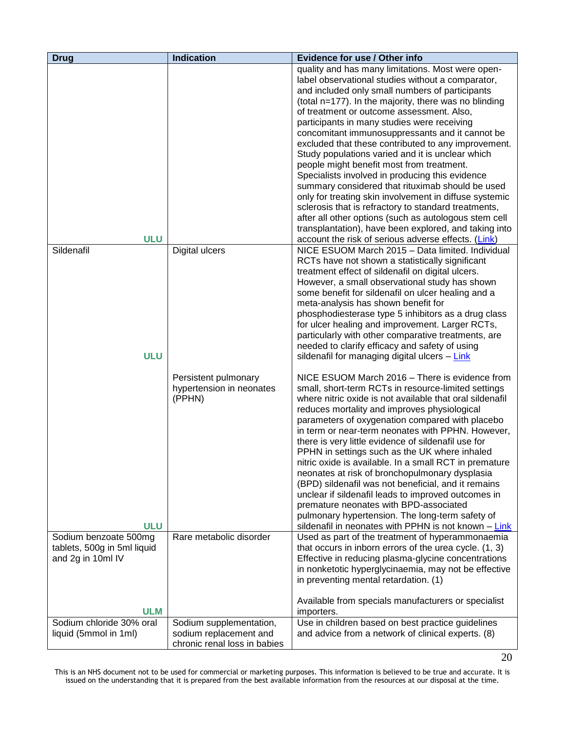| <b>Drug</b>                                                    | <b>Indication</b>                                          | Evidence for use / Other info                                                                                                                                                                                                                                                                                                                                                                                                                                                                                                                                                                                                                                                                                                                                                                                    |
|----------------------------------------------------------------|------------------------------------------------------------|------------------------------------------------------------------------------------------------------------------------------------------------------------------------------------------------------------------------------------------------------------------------------------------------------------------------------------------------------------------------------------------------------------------------------------------------------------------------------------------------------------------------------------------------------------------------------------------------------------------------------------------------------------------------------------------------------------------------------------------------------------------------------------------------------------------|
|                                                                |                                                            | quality and has many limitations. Most were open-<br>label observational studies without a comparator,<br>and included only small numbers of participants<br>(total n=177). In the majority, there was no blinding<br>of treatment or outcome assessment. Also,<br>participants in many studies were receiving<br>concomitant immunosuppressants and it cannot be<br>excluded that these contributed to any improvement.<br>Study populations varied and it is unclear which<br>people might benefit most from treatment.<br>Specialists involved in producing this evidence<br>summary considered that rituximab should be used<br>only for treating skin involvement in diffuse systemic<br>sclerosis that is refractory to standard treatments,<br>after all other options (such as autologous stem cell      |
|                                                                |                                                            | transplantation), have been explored, and taking into                                                                                                                                                                                                                                                                                                                                                                                                                                                                                                                                                                                                                                                                                                                                                            |
| <b>ULU</b><br>Sildenafil<br><b>ULU</b>                         | Digital ulcers                                             | account the risk of serious adverse effects. (Link)<br>NICE ESUOM March 2015 - Data limited. Individual<br>RCTs have not shown a statistically significant<br>treatment effect of sildenafil on digital ulcers.<br>However, a small observational study has shown<br>some benefit for sildenafil on ulcer healing and a<br>meta-analysis has shown benefit for<br>phosphodiesterase type 5 inhibitors as a drug class<br>for ulcer healing and improvement. Larger RCTs,<br>particularly with other comparative treatments, are<br>needed to clarify efficacy and safety of using<br>sildenafil for managing digital ulcers - Link                                                                                                                                                                               |
| <b>ULU</b>                                                     | Persistent pulmonary<br>hypertension in neonates<br>(PPHN) | NICE ESUOM March 2016 - There is evidence from<br>small, short-term RCTs in resource-limited settings<br>where nitric oxide is not available that oral sildenafil<br>reduces mortality and improves physiological<br>parameters of oxygenation compared with placebo<br>in term or near-term neonates with PPHN. However,<br>there is very little evidence of sildenafil use for<br>PPHN in settings such as the UK where inhaled<br>nitric oxide is available. In a small RCT in premature<br>neonates at risk of bronchopulmonary dysplasia<br>(BPD) sildenafil was not beneficial, and it remains<br>unclear if sildenafil leads to improved outcomes in<br>premature neonates with BPD-associated<br>pulmonary hypertension. The long-term safety of<br>sildenafil in neonates with PPHN is not known - Link |
| Sodium benzoate 500mg                                          | Rare metabolic disorder                                    | Used as part of the treatment of hyperammonaemia                                                                                                                                                                                                                                                                                                                                                                                                                                                                                                                                                                                                                                                                                                                                                                 |
| tablets, 500g in 5ml liquid<br>and 2g in 10ml IV<br><b>ULM</b> |                                                            | that occurs in inborn errors of the urea cycle. (1, 3)<br>Effective in reducing plasma-glycine concentrations<br>in nonketotic hyperglycinaemia, may not be effective<br>in preventing mental retardation. (1)<br>Available from specials manufacturers or specialist<br>importers.                                                                                                                                                                                                                                                                                                                                                                                                                                                                                                                              |
| Sodium chloride 30% oral                                       | Sodium supplementation,                                    | Use in children based on best practice guidelines                                                                                                                                                                                                                                                                                                                                                                                                                                                                                                                                                                                                                                                                                                                                                                |
| liquid (5mmol in 1ml)                                          | sodium replacement and<br>chronic renal loss in babies     | and advice from a network of clinical experts. (8)                                                                                                                                                                                                                                                                                                                                                                                                                                                                                                                                                                                                                                                                                                                                                               |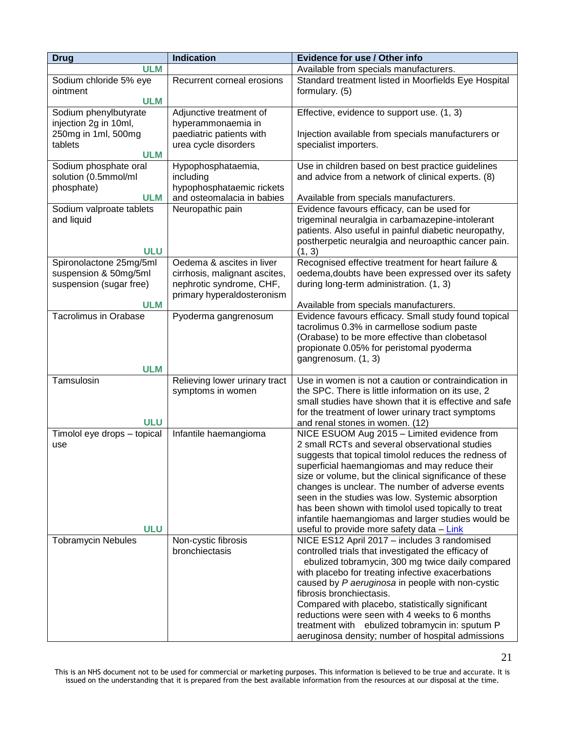| <b>Drug</b>                    | <b>Indication</b>                                | <b>Evidence for use / Other info</b>                                                                    |
|--------------------------------|--------------------------------------------------|---------------------------------------------------------------------------------------------------------|
| <b>ULM</b>                     |                                                  | Available from specials manufacturers.                                                                  |
| Sodium chloride 5% eye         | Recurrent corneal erosions                       | Standard treatment listed in Moorfields Eye Hospital                                                    |
| ointment                       |                                                  | formulary. (5)                                                                                          |
| <b>ULM</b>                     |                                                  |                                                                                                         |
| Sodium phenylbutyrate          | Adjunctive treatment of                          | Effective, evidence to support use. (1, 3)                                                              |
| injection 2g in 10ml,          | hyperammonaemia in                               |                                                                                                         |
| 250mg in 1ml, 500mg<br>tablets | paediatric patients with<br>urea cycle disorders | Injection available from specials manufacturers or<br>specialist importers.                             |
| <b>ULM</b>                     |                                                  |                                                                                                         |
| Sodium phosphate oral          | Hypophosphataemia,                               | Use in children based on best practice guidelines                                                       |
| solution (0.5mmol/ml           | including                                        | and advice from a network of clinical experts. (8)                                                      |
| phosphate)                     | hypophosphataemic rickets                        |                                                                                                         |
| <b>ULM</b>                     | and osteomalacia in babies                       | Available from specials manufacturers.                                                                  |
| Sodium valproate tablets       | Neuropathic pain                                 | Evidence favours efficacy, can be used for                                                              |
| and liquid                     |                                                  | trigeminal neuralgia in carbamazepine-intolerant                                                        |
|                                |                                                  | patients. Also useful in painful diabetic neuropathy,                                                   |
| <b>ULU</b>                     |                                                  | postherpetic neuralgia and neuroapthic cancer pain.<br>(1, 3)                                           |
| Spironolactone 25mg/5ml        | Oedema & ascites in liver                        | Recognised effective treatment for heart failure &                                                      |
| suspension & 50mg/5ml          | cirrhosis, malignant ascites,                    | oedema, doubts have been expressed over its safety                                                      |
| suspension (sugar free)        | nephrotic syndrome, CHF,                         | during long-term administration. (1, 3)                                                                 |
|                                | primary hyperaldosteronism                       |                                                                                                         |
| <b>ULM</b>                     |                                                  | Available from specials manufacturers.                                                                  |
| <b>Tacrolimus in Orabase</b>   | Pyoderma gangrenosum                             | Evidence favours efficacy. Small study found topical                                                    |
|                                |                                                  | tacrolimus 0.3% in carmellose sodium paste                                                              |
|                                |                                                  | (Orabase) to be more effective than clobetasol                                                          |
|                                |                                                  | propionate 0.05% for peristomal pyoderma<br>gangrenosum. (1, 3)                                         |
| <b>ULM</b>                     |                                                  |                                                                                                         |
| Tamsulosin                     | Relieving lower urinary tract                    | Use in women is not a caution or contraindication in                                                    |
|                                | symptoms in women                                | the SPC. There is little information on its use, 2                                                      |
|                                |                                                  | small studies have shown that it is effective and safe                                                  |
|                                |                                                  | for the treatment of lower urinary tract symptoms                                                       |
| <b>ULU</b>                     |                                                  | and renal stones in women. (12)                                                                         |
| Timolol eye drops - topical    | Infantile haemangioma                            | NICE ESUOM Aug 2015 - Limited evidence from                                                             |
| use                            |                                                  | 2 small RCTs and several observational studies<br>suggests that topical timolol reduces the redness of  |
|                                |                                                  | superficial haemangiomas and may reduce their                                                           |
|                                |                                                  | size or volume, but the clinical significance of these                                                  |
|                                |                                                  | changes is unclear. The number of adverse events                                                        |
|                                |                                                  | seen in the studies was low. Systemic absorption                                                        |
|                                |                                                  | has been shown with timolol used topically to treat                                                     |
|                                |                                                  | infantile haemangiomas and larger studies would be                                                      |
| <b>ULU</b>                     |                                                  | useful to provide more safety data - Link                                                               |
| <b>Tobramycin Nebules</b>      | Non-cystic fibrosis<br>bronchiectasis            | NICE ES12 April 2017 - includes 3 randomised                                                            |
|                                |                                                  | controlled trials that investigated the efficacy of<br>ebulized tobramycin, 300 mg twice daily compared |
|                                |                                                  | with placebo for treating infective exacerbations                                                       |
|                                |                                                  | caused by P aeruginosa in people with non-cystic                                                        |
|                                |                                                  | fibrosis bronchiectasis.                                                                                |
|                                |                                                  | Compared with placebo, statistically significant                                                        |
|                                |                                                  | reductions were seen with 4 weeks to 6 months                                                           |
|                                |                                                  | treatment with ebulized tobramycin in: sputum P                                                         |
|                                |                                                  | aeruginosa density; number of hospital admissions                                                       |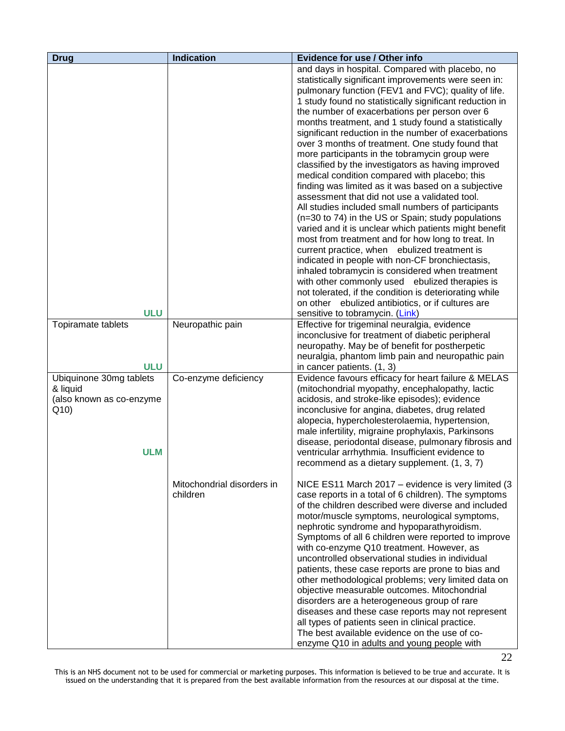|                                                                                        | <b>Indication</b>                      | Evidence for use / Other info                                                                                                                                                                                                                                                                                                                                                                                                                                                                                                                                                                                                                                                                                                                                                                                                                                                                                                                                                                                                                                                                                                                                                                              |
|----------------------------------------------------------------------------------------|----------------------------------------|------------------------------------------------------------------------------------------------------------------------------------------------------------------------------------------------------------------------------------------------------------------------------------------------------------------------------------------------------------------------------------------------------------------------------------------------------------------------------------------------------------------------------------------------------------------------------------------------------------------------------------------------------------------------------------------------------------------------------------------------------------------------------------------------------------------------------------------------------------------------------------------------------------------------------------------------------------------------------------------------------------------------------------------------------------------------------------------------------------------------------------------------------------------------------------------------------------|
| <b>Drug</b>                                                                            |                                        | and days in hospital. Compared with placebo, no<br>statistically significant improvements were seen in:<br>pulmonary function (FEV1 and FVC); quality of life.<br>1 study found no statistically significant reduction in<br>the number of exacerbations per person over 6<br>months treatment, and 1 study found a statistically<br>significant reduction in the number of exacerbations<br>over 3 months of treatment. One study found that<br>more participants in the tobramycin group were<br>classified by the investigators as having improved<br>medical condition compared with placebo; this<br>finding was limited as it was based on a subjective<br>assessment that did not use a validated tool.<br>All studies included small numbers of participants<br>(n=30 to 74) in the US or Spain; study populations<br>varied and it is unclear which patients might benefit<br>most from treatment and for how long to treat. In<br>current practice, when ebulized treatment is<br>indicated in people with non-CF bronchiectasis,<br>inhaled tobramycin is considered when treatment<br>with other commonly used ebulized therapies is<br>not tolerated, if the condition is deteriorating while |
| <b>ULU</b>                                                                             |                                        | on other ebulized antibiotics, or if cultures are<br>sensitive to tobramycin. (Link)                                                                                                                                                                                                                                                                                                                                                                                                                                                                                                                                                                                                                                                                                                                                                                                                                                                                                                                                                                                                                                                                                                                       |
| Topiramate tablets<br><b>ULU</b>                                                       | Neuropathic pain                       | Effective for trigeminal neuralgia, evidence<br>inconclusive for treatment of diabetic peripheral<br>neuropathy. May be of benefit for postherpetic<br>neuralgia, phantom limb pain and neuropathic pain                                                                                                                                                                                                                                                                                                                                                                                                                                                                                                                                                                                                                                                                                                                                                                                                                                                                                                                                                                                                   |
| Ubiquinone 30mg tablets<br>& liquid<br>(also known as co-enzyme<br>Q(10)<br><b>ULM</b> | Co-enzyme deficiency                   | in cancer patients. (1, 3)<br>Evidence favours efficacy for heart failure & MELAS<br>(mitochondrial myopathy, encephalopathy, lactic<br>acidosis, and stroke-like episodes); evidence<br>inconclusive for angina, diabetes, drug related<br>alopecia, hypercholesterolaemia, hypertension,<br>male infertility, migraine prophylaxis, Parkinsons<br>disease, periodontal disease, pulmonary fibrosis and<br>ventricular arrhythmia. Insufficient evidence to<br>recommend as a dietary supplement. (1, 3, 7)                                                                                                                                                                                                                                                                                                                                                                                                                                                                                                                                                                                                                                                                                               |
|                                                                                        | Mitochondrial disorders in<br>children | NICE ES11 March 2017 - evidence is very limited (3<br>case reports in a total of 6 children). The symptoms<br>of the children described were diverse and included<br>motor/muscle symptoms, neurological symptoms,<br>nephrotic syndrome and hypoparathyroidism.<br>Symptoms of all 6 children were reported to improve<br>with co-enzyme Q10 treatment. However, as<br>uncontrolled observational studies in individual<br>patients, these case reports are prone to bias and<br>other methodological problems; very limited data on<br>objective measurable outcomes. Mitochondrial<br>disorders are a heterogeneous group of rare<br>diseases and these case reports may not represent<br>all types of patients seen in clinical practice.<br>The best available evidence on the use of co-<br>enzyme Q10 in adults and young people with                                                                                                                                                                                                                                                                                                                                                               |

22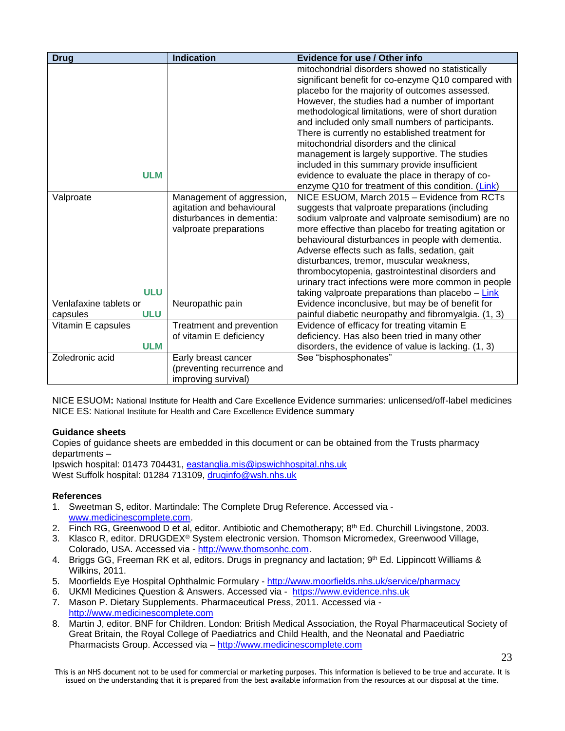| <b>Drug</b>            | <b>Indication</b>          | Evidence for use / Other info                                                                      |
|------------------------|----------------------------|----------------------------------------------------------------------------------------------------|
|                        |                            | mitochondrial disorders showed no statistically                                                    |
|                        |                            | significant benefit for co-enzyme Q10 compared with                                                |
|                        |                            | placebo for the majority of outcomes assessed.                                                     |
|                        |                            | However, the studies had a number of important                                                     |
|                        |                            | methodological limitations, were of short duration                                                 |
|                        |                            | and included only small numbers of participants.                                                   |
|                        |                            | There is currently no established treatment for                                                    |
|                        |                            | mitochondrial disorders and the clinical                                                           |
|                        |                            | management is largely supportive. The studies                                                      |
|                        |                            | included in this summary provide insufficient                                                      |
| <b>ULM</b>             |                            | evidence to evaluate the place in therapy of co-                                                   |
|                        |                            | enzyme Q10 for treatment of this condition. (Link)                                                 |
| Valproate              | Management of aggression,  | NICE ESUOM, March 2015 - Evidence from RCTs                                                        |
|                        | agitation and behavioural  | suggests that valproate preparations (including                                                    |
|                        | disturbances in dementia:  | sodium valproate and valproate semisodium) are no                                                  |
|                        | valproate preparations     | more effective than placebo for treating agitation or                                              |
|                        |                            | behavioural disturbances in people with dementia.<br>Adverse effects such as falls, sedation, gait |
|                        |                            | disturbances, tremor, muscular weakness,                                                           |
|                        |                            | thrombocytopenia, gastrointestinal disorders and                                                   |
|                        |                            | urinary tract infections were more common in people                                                |
| <b>ULU</b>             |                            | taking valproate preparations than placebo $-\text{Link}$                                          |
| Venlafaxine tablets or | Neuropathic pain           | Evidence inconclusive, but may be of benefit for                                                   |
| <b>ULU</b><br>capsules |                            | painful diabetic neuropathy and fibromyalgia. (1, 3)                                               |
| Vitamin E capsules     | Treatment and prevention   | Evidence of efficacy for treating vitamin E                                                        |
|                        | of vitamin E deficiency    | deficiency. Has also been tried in many other                                                      |
| <b>ULM</b>             |                            | disorders, the evidence of value is lacking. (1, 3)                                                |
| Zoledronic acid        | Early breast cancer        | See "bisphosphonates"                                                                              |
|                        | (preventing recurrence and |                                                                                                    |
|                        | improving survival)        |                                                                                                    |

NICE ESUOM**:** National Institute for Health and Care Excellence Evidence summaries: unlicensed/off-label medicines NICE ES: National Institute for Health and Care Excellence Evidence summary

## **Guidance sheets**

Copies of guidance sheets are embedded in this document or can be obtained from the Trusts pharmacy departments –

Ipswich hospital: 01473 704431, [eastanglia.mis@ipswichhospital.nhs.uk](mailto:eastanglia.mis@ipswichhospital.nhs.uk) West Suffolk hospital: 01284 713109, [druginfo@wsh.nhs.uk](mailto:druginfo@wsh.nhs.uk)

## **References**

- 1. Sweetman S, editor. Martindale: The Complete Drug Reference. Accessed via [www.medicinescomplete.com.](http://www.medicinescomplete.com/)
- 2. Finch RG, Greenwood D et al, editor. Antibiotic and Chemotherapy; 8<sup>th</sup> Ed. Churchill Livingstone, 2003.
- 3. Klasco R, editor. DRUGDEX® System electronic version. Thomson Micromedex, Greenwood Village, Colorado, USA. Accessed via - [http://www.thomsonhc.com.](http://www.thomsonhc.com/)
- 4. Briggs GG, Freeman RK et al, editors. Drugs in pregnancy and lactation; 9<sup>th</sup> Ed. Lippincott Williams & Wilkins, 2011.
- 5. Moorfields Eye Hospital Ophthalmic Formulary <http://www.moorfields.nhs.uk/service/pharmacy>
- 6. UKMI Medicines Question & Answers. Accessed via [https://www.evidence.nhs.uk](https://www.evidence.nhs.uk/) 7. Mason P. Dietary Supplements. Pharmaceutical Press, 2011. Accessed via [http://www.medicinescomplete.com](http://www.medicinescomplete.com/)
- 8. Martin J, editor. BNF for Children. London: British Medical Association, the Royal Pharmaceutical Society of Great Britain, the Royal College of Paediatrics and Child Health, and the Neonatal and Paediatric Pharmacists Group. Accessed via – [http://www.medicinescomplete.com](http://www.medicinescomplete.com/)

23